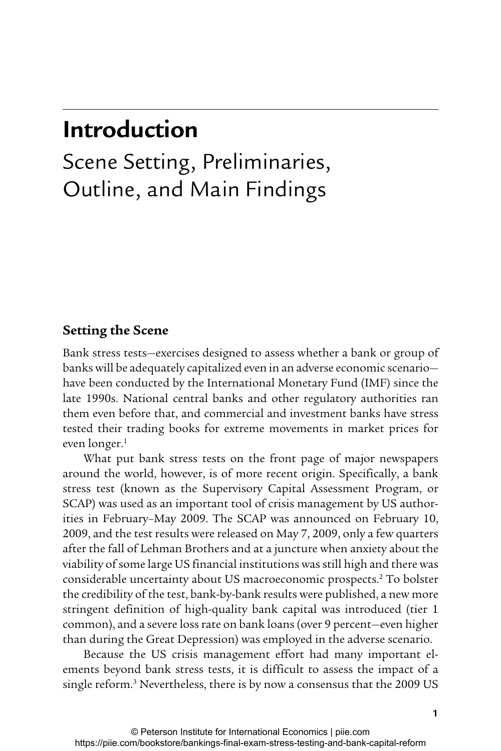# **Introduction**

Scene Setting, Preliminaries, Outline, and Main Findings

### **Setting the Scene**

Bank stress tests—exercises designed to assess whether a bank or group of banks will be adequately capitalized even in an adverse economic scenario have been conducted by the International Monetary Fund (IMF) since the late 1990s. National central banks and other regulatory authorities ran them even before that, and commercial and investment banks have stress tested their trading books for extreme movements in market prices for even longer.<sup>1</sup>

What put bank stress tests on the front page of major newspapers around the world, however, is of more recent origin. Specifically, a bank stress test (known as the Supervisory Capital Assessment Program, or SCAP) was used as an important tool of crisis management by US authorities in February–May 2009. The SCAP was announced on February 10, 2009, and the test results were released on May 7, 2009, only a few quarters after the fall of Lehman Brothers and at a juncture when anxiety about the viability of some large US financial institutions was still high and there was considerable uncertainty about US macroeconomic prospects.2 To bolster the credibility of the test, bank-by-bank results were published, a new more stringent definition of high-quality bank capital was introduced (tier 1 common), and a severe loss rate on bank loans (over 9 percent—even higher than during the Great Depression) was employed in the adverse scenario.

Because the US crisis management effort had many important elements beyond bank stress tests, it is difficult to assess the impact of a single reform.<sup>3</sup> Nevertheless, there is by now a consensus that the 2009 US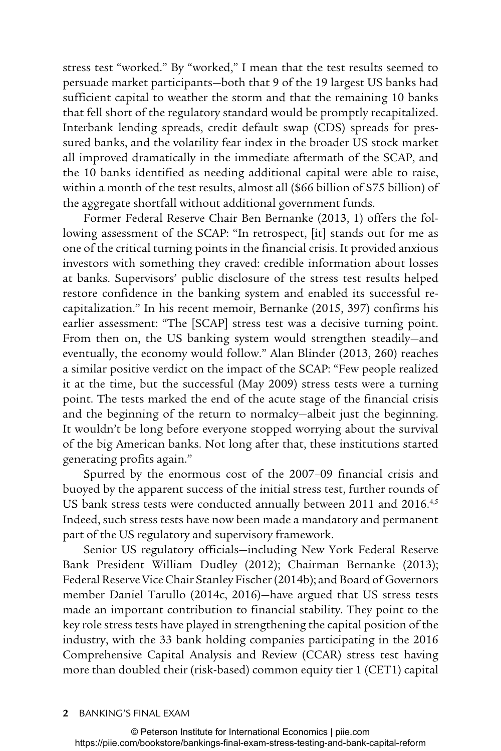stress test "worked." By "worked," I mean that the test results seemed to persuade market participants—both that 9 of the 19 largest US banks had sufficient capital to weather the storm and that the remaining 10 banks that fell short of the regulatory standard would be promptly recapitalized. Interbank lending spreads, credit default swap (CDS) spreads for pressured banks, and the volatility fear index in the broader US stock market all improved dramatically in the immediate aftermath of the SCAP, and the 10 banks identified as needing additional capital were able to raise, within a month of the test results, almost all (\$66 billion of \$75 billion) of the aggregate shortfall without additional government funds.

Former Federal Reserve Chair Ben Bernanke (2013, 1) offers the following assessment of the SCAP: "In retrospect, [it] stands out for me as one of the critical turning points in the financial crisis. It provided anxious investors with something they craved: credible information about losses at banks. Supervisors' public disclosure of the stress test results helped restore confidence in the banking system and enabled its successful recapitalization." In his recent memoir, Bernanke (2015, 397) confirms his earlier assessment: "The [SCAP] stress test was a decisive turning point. From then on, the US banking system would strengthen steadily—and eventually, the economy would follow." Alan Blinder (2013, 260) reaches a similar positive verdict on the impact of the SCAP: "Few people realized it at the time, but the successful (May 2009) stress tests were a turning point. The tests marked the end of the acute stage of the financial crisis and the beginning of the return to normalcy—albeit just the beginning. It wouldn't be long before everyone stopped worrying about the survival of the big American banks. Not long after that, these institutions started generating profits again."

Spurred by the enormous cost of the 2007–09 financial crisis and buoyed by the apparent success of the initial stress test, further rounds of US bank stress tests were conducted annually between 2011 and 2016.<sup>4,5</sup> Indeed, such stress tests have now been made a mandatory and permanent part of the US regulatory and supervisory framework.

Senior US regulatory officials—including New York Federal Reserve Bank President William Dudley (2012); Chairman Bernanke (2013); Federal Reserve Vice Chair Stanley Fischer (2014b); and Board of Governors member Daniel Tarullo (2014c, 2016)—have argued that US stress tests made an important contribution to financial stability. They point to the key role stress tests have played in strengthening the capital position of the industry, with the 33 bank holding companies participating in the 2016 Comprehensive Capital Analysis and Review (CCAR) stress test having more than doubled their (risk-based) common equity tier 1 (CET1) capital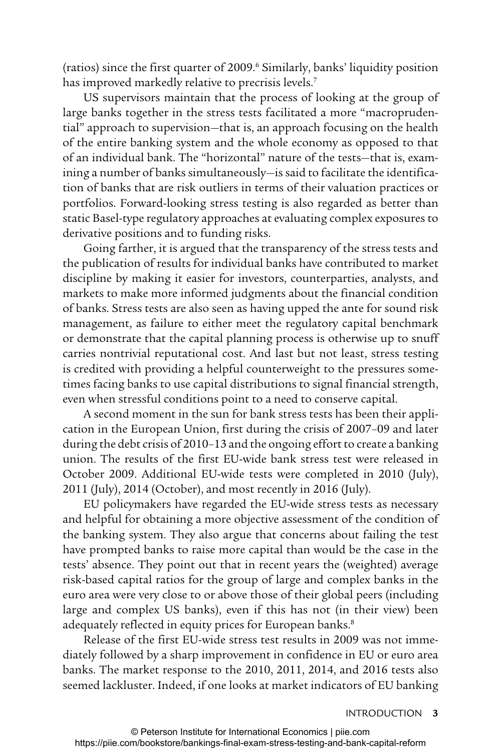(ratios) since the first quarter of 2009.6 Similarly, banks' liquidity position has improved markedly relative to precrisis levels.<sup>7</sup>

US supervisors maintain that the process of looking at the group of large banks together in the stress tests facilitated a more "macroprudential" approach to supervision—that is, an approach focusing on the health of the entire banking system and the whole economy as opposed to that of an individual bank. The "horizontal" nature of the tests—that is, examining a number of banks simultaneously—is said to facilitate the identification of banks that are risk outliers in terms of their valuation practices or portfolios. Forward-looking stress testing is also regarded as better than static Basel-type regulatory approaches at evaluating complex exposures to derivative positions and to funding risks.

Going farther, it is argued that the transparency of the stress tests and the publication of results for individual banks have contributed to market discipline by making it easier for investors, counterparties, analysts, and markets to make more informed judgments about the financial condition of banks. Stress tests are also seen as having upped the ante for sound risk management, as failure to either meet the regulatory capital benchmark or demonstrate that the capital planning process is otherwise up to snuff carries nontrivial reputational cost. And last but not least, stress testing is credited with providing a helpful counterweight to the pressures sometimes facing banks to use capital distributions to signal financial strength, even when stressful conditions point to a need to conserve capital.

A second moment in the sun for bank stress tests has been their application in the European Union, first during the crisis of 2007–09 and later during the debt crisis of 2010–13 and the ongoing effort to create a banking union. The results of the first EU-wide bank stress test were released in October 2009. Additional EU-wide tests were completed in 2010 (July), 2011 (July), 2014 (October), and most recently in 2016 (July).

EU policymakers have regarded the EU-wide stress tests as necessary and helpful for obtaining a more objective assessment of the condition of the banking system. They also argue that concerns about failing the test have prompted banks to raise more capital than would be the case in the tests' absence. They point out that in recent years the (weighted) average risk-based capital ratios for the group of large and complex banks in the euro area were very close to or above those of their global peers (including large and complex US banks), even if this has not (in their view) been adequately reflected in equity prices for European banks.<sup>8</sup>

Release of the first EU-wide stress test results in 2009 was not immediately followed by a sharp improvement in confidence in EU or euro area banks. The market response to the 2010, 2011, 2014, and 2016 tests also seemed lackluster. Indeed, if one looks at market indicators of EU banking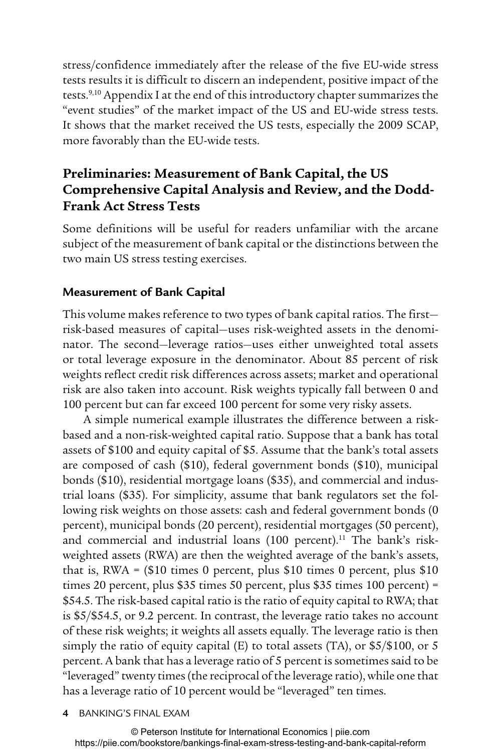stress/confidence immediately after the release of the five EU-wide stress tests results it is difficult to discern an independent, positive impact of the tests.9,10 Appendix I at the end of this introductory chapter summarizes the "event studies" of the market impact of the US and EU-wide stress tests. It shows that the market received the US tests, especially the 2009 SCAP, more favorably than the EU-wide tests.

# **Preliminaries: Measurement of Bank Capital, the US Comprehensive Capital Analysis and Review, and the Dodd-Frank Act Stress Tests**

Some definitions will be useful for readers unfamiliar with the arcane subject of the measurement of bank capital or the distinctions between the two main US stress testing exercises.

### **Measurement of Bank Capital**

This volume makes reference to two types of bank capital ratios. The first risk-based measures of capital—uses risk-weighted assets in the denominator. The second—leverage ratios—uses either unweighted total assets or total leverage exposure in the denominator. About 85 percent of risk weights reflect credit risk differences across assets; market and operational risk are also taken into account. Risk weights typically fall between 0 and 100 percent but can far exceed 100 percent for some very risky assets.

A simple numerical example illustrates the difference between a riskbased and a non-risk-weighted capital ratio. Suppose that a bank has total assets of \$100 and equity capital of \$5. Assume that the bank's total assets are composed of cash (\$10), federal government bonds (\$10), municipal bonds (\$10), residential mortgage loans (\$35), and commercial and industrial loans (\$35). For simplicity, assume that bank regulators set the following risk weights on those assets: cash and federal government bonds (0 percent), municipal bonds (20 percent), residential mortgages (50 percent), and commercial and industrial loans (100 percent).<sup>11</sup> The bank's riskweighted assets (RWA) are then the weighted average of the bank's assets, that is, RWA = (\$10 times 0 percent, plus \$10 times 0 percent, plus \$10 times 20 percent, plus \$35 times 50 percent, plus \$35 times 100 percent) = \$54.5. The risk-based capital ratio is the ratio of equity capital to RWA; that is \$5/\$54.5, or 9.2 percent. In contrast, the leverage ratio takes no account of these risk weights; it weights all assets equally. The leverage ratio is then simply the ratio of equity capital  $(E)$  to total assets  $(TA)$ , or \$5/\$100, or 5 percent. A bank that has a leverage ratio of 5 percent is sometimes said to be "leveraged" twenty times (the reciprocal of the leverage ratio), while one that has a leverage ratio of 10 percent would be "leveraged" ten times.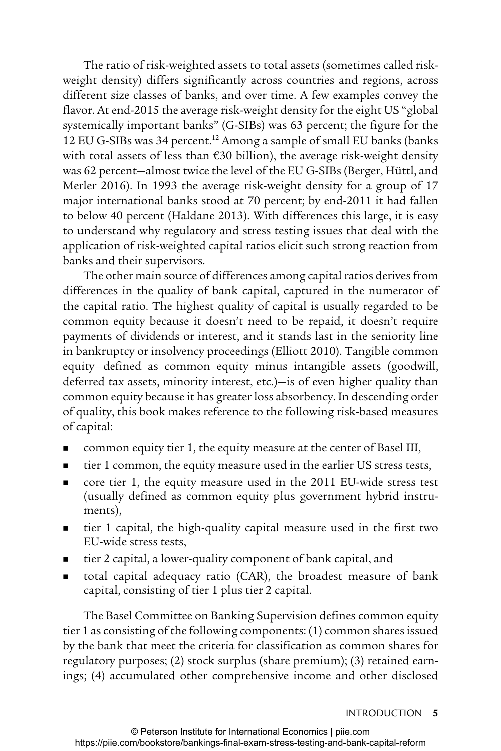The ratio of risk-weighted assets to total assets (sometimes called riskweight density) differs significantly across countries and regions, across different size classes of banks, and over time. A few examples convey the flavor. At end-2015 the average risk-weight density for the eight US "global systemically important banks" (G-SIBs) was 63 percent; the figure for the 12 EU G-SIBs was 34 percent.<sup>12</sup> Among a sample of small EU banks (banks with total assets of less than €30 billion), the average risk-weight density was 62 percent—almost twice the level of the EU G-SIBs (Berger, Hüttl, and Merler 2016). In 1993 the average risk-weight density for a group of 17 major international banks stood at 70 percent; by end-2011 it had fallen to below 40 percent (Haldane 2013). With differences this large, it is easy to understand why regulatory and stress testing issues that deal with the application of risk-weighted capital ratios elicit such strong reaction from banks and their supervisors.

The other main source of differences among capital ratios derives from differences in the quality of bank capital, captured in the numerator of the capital ratio. The highest quality of capital is usually regarded to be common equity because it doesn't need to be repaid, it doesn't require payments of dividends or interest, and it stands last in the seniority line in bankruptcy or insolvency proceedings (Elliott 2010). Tangible common equity—defined as common equity minus intangible assets (goodwill, deferred tax assets, minority interest, etc.)—is of even higher quality than common equity because it has greater loss absorbency. In descending order of quality, this book makes reference to the following risk-based measures of capital:

- common equity tier 1, the equity measure at the center of Basel III,
- tier 1 common, the equity measure used in the earlier US stress tests,
- core tier 1, the equity measure used in the 2011 EU-wide stress test (usually defined as common equity plus government hybrid instruments),
- tier 1 capital, the high-quality capital measure used in the first two EU-wide stress tests,
- tier 2 capital, a lower-quality component of bank capital, and
- <sup>n</sup> total capital adequacy ratio (CAR), the broadest measure of bank capital, consisting of tier 1 plus tier 2 capital.

The Basel Committee on Banking Supervision defines common equity tier 1 as consisting of the following components: (1) common shares issued by the bank that meet the criteria for classification as common shares for regulatory purposes; (2) stock surplus (share premium); (3) retained earnings; (4) accumulated other comprehensive income and other disclosed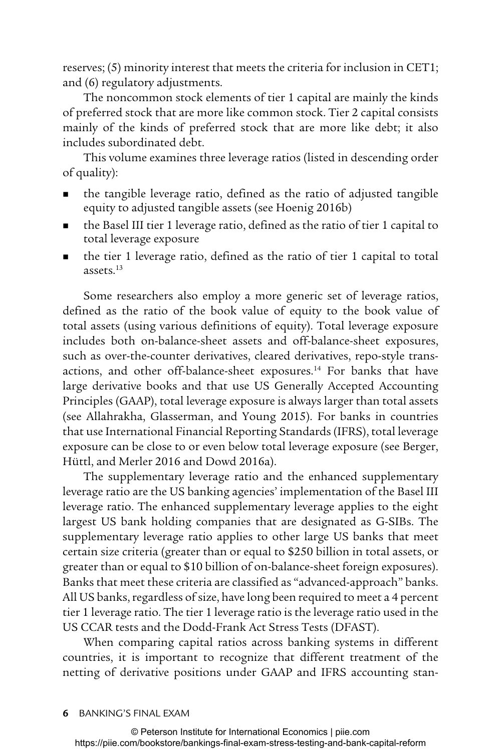reserves; (5) minority interest that meets the criteria for inclusion in CET1; and (6) regulatory adjustments.

The noncommon stock elements of tier 1 capital are mainly the kinds of preferred stock that are more like common stock. Tier 2 capital consists mainly of the kinds of preferred stock that are more like debt; it also includes subordinated debt.

This volume examines three leverage ratios (listed in descending order of quality):

- the tangible leverage ratio, defined as the ratio of adjusted tangible equity to adjusted tangible assets (see Hoenig 2016b)
- the Basel III tier 1 leverage ratio, defined as the ratio of tier 1 capital to total leverage exposure
- <sup>n</sup> the tier 1 leverage ratio, defined as the ratio of tier 1 capital to total assets.13

Some researchers also employ a more generic set of leverage ratios, defined as the ratio of the book value of equity to the book value of total assets (using various definitions of equity). Total leverage exposure includes both on-balance-sheet assets and off-balance-sheet exposures, such as over-the-counter derivatives, cleared derivatives, repo-style transactions, and other off-balance-sheet exposures.<sup>14</sup> For banks that have large derivative books and that use US Generally Accepted Accounting Principles (GAAP), total leverage exposure is always larger than total assets (see Allahrakha, Glasserman, and Young 2015). For banks in countries that use International Financial Reporting Standards (IFRS), total leverage exposure can be close to or even below total leverage exposure (see Berger, Hüttl, and Merler 2016 and Dowd 2016a).

The supplementary leverage ratio and the enhanced supplementary leverage ratio are the US banking agencies' implementation of the Basel III leverage ratio. The enhanced supplementary leverage applies to the eight largest US bank holding companies that are designated as G-SIBs. The supplementary leverage ratio applies to other large US banks that meet certain size criteria (greater than or equal to \$250 billion in total assets, or greater than or equal to \$10 billion of on-balance-sheet foreign exposures). Banks that meet these criteria are classified as "advanced-approach" banks. All US banks, regardless of size, have long been required to meet a 4 percent tier 1 leverage ratio. The tier 1 leverage ratio is the leverage ratio used in the US CCAR tests and the Dodd-Frank Act Stress Tests (DFAST).

When comparing capital ratios across banking systems in different countries, it is important to recognize that different treatment of the netting of derivative positions under GAAP and IFRS accounting stan-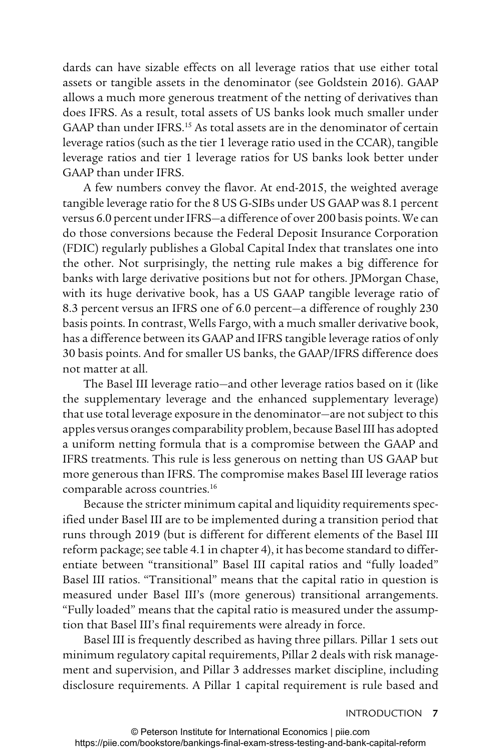dards can have sizable effects on all leverage ratios that use either total assets or tangible assets in the denominator (see Goldstein 2016). GAAP allows a much more generous treatment of the netting of derivatives than does IFRS. As a result, total assets of US banks look much smaller under GAAP than under IFRS.<sup>15</sup> As total assets are in the denominator of certain leverage ratios (such as the tier 1 leverage ratio used in the CCAR), tangible leverage ratios and tier 1 leverage ratios for US banks look better under GAAP than under IFRS.

A few numbers convey the flavor. At end-2015, the weighted average tangible leverage ratio for the 8 US G-SIBs under US GAAP was 8.1 percent versus 6.0 percent under IFRS—a difference of over 200 basis points. We can do those conversions because the Federal Deposit Insurance Corporation (FDIC) regularly publishes a Global Capital Index that translates one into the other. Not surprisingly, the netting rule makes a big difference for banks with large derivative positions but not for others. JPMorgan Chase, with its huge derivative book, has a US GAAP tangible leverage ratio of 8.3 percent versus an IFRS one of 6.0 percent—a difference of roughly 230 basis points. In contrast, Wells Fargo, with a much smaller derivative book, has a difference between its GAAP and IFRS tangible leverage ratios of only 30 basis points. And for smaller US banks, the GAAP/IFRS difference does not matter at all.

The Basel III leverage ratio—and other leverage ratios based on it (like the supplementary leverage and the enhanced supplementary leverage) that use total leverage exposure in the denominator—are not subject to this apples versus oranges comparability problem, because Basel III has adopted a uniform netting formula that is a compromise between the GAAP and IFRS treatments. This rule is less generous on netting than US GAAP but more generous than IFRS. The compromise makes Basel III leverage ratios comparable across countries.<sup>16</sup>

Because the stricter minimum capital and liquidity requirements specified under Basel III are to be implemented during a transition period that runs through 2019 (but is different for different elements of the Basel III reform package; see table 4.1 in chapter 4), it has become standard to differentiate between "transitional" Basel III capital ratios and "fully loaded" Basel III ratios. "Transitional" means that the capital ratio in question is measured under Basel III's (more generous) transitional arrangements. "Fully loaded" means that the capital ratio is measured under the assumption that Basel III's final requirements were already in force.

Basel III is frequently described as having three pillars. Pillar 1 sets out minimum regulatory capital requirements, Pillar 2 deals with risk management and supervision, and Pillar 3 addresses market discipline, including disclosure requirements. A Pillar 1 capital requirement is rule based and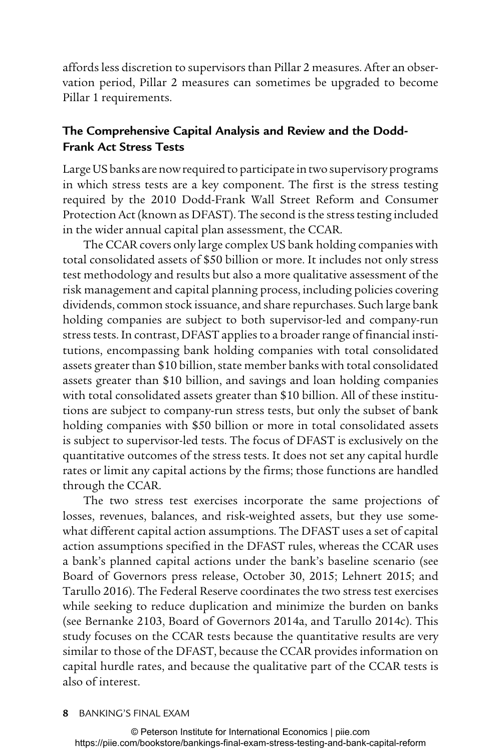affords less discretion to supervisors than Pillar 2 measures. After an observation period, Pillar 2 measures can sometimes be upgraded to become Pillar 1 requirements.

### **The Comprehensive Capital Analysis and Review and the Dodd-Frank Act Stress Tests**

Large US banks are now required to participate in two supervisory programs in which stress tests are a key component. The first is the stress testing required by the 2010 Dodd-Frank Wall Street Reform and Consumer Protection Act (known as DFAST). The second is the stress testing included in the wider annual capital plan assessment, the CCAR.

The CCAR covers only large complex US bank holding companies with total consolidated assets of \$50 billion or more. It includes not only stress test methodology and results but also a more qualitative assessment of the risk management and capital planning process, including policies covering dividends, common stock issuance, and share repurchases. Such large bank holding companies are subject to both supervisor-led and company-run stress tests. In contrast, DFAST applies to a broader range of financial institutions, encompassing bank holding companies with total consolidated assets greater than \$10 billion, state member banks with total consolidated assets greater than \$10 billion, and savings and loan holding companies with total consolidated assets greater than \$10 billion. All of these institutions are subject to company-run stress tests, but only the subset of bank holding companies with \$50 billion or more in total consolidated assets is subject to supervisor-led tests. The focus of DFAST is exclusively on the quantitative outcomes of the stress tests. It does not set any capital hurdle rates or limit any capital actions by the firms; those functions are handled through the CCAR.

The two stress test exercises incorporate the same projections of losses, revenues, balances, and risk-weighted assets, but they use somewhat different capital action assumptions. The DFAST uses a set of capital action assumptions specified in the DFAST rules, whereas the CCAR uses a bank's planned capital actions under the bank's baseline scenario (see Board of Governors press release, October 30, 2015; Lehnert 2015; and Tarullo 2016). The Federal Reserve coordinates the two stress test exercises while seeking to reduce duplication and minimize the burden on banks (see Bernanke 2103, Board of Governors 2014a, and Tarullo 2014c). This study focuses on the CCAR tests because the quantitative results are very similar to those of the DFAST, because the CCAR provides information on capital hurdle rates, and because the qualitative part of the CCAR tests is also of interest.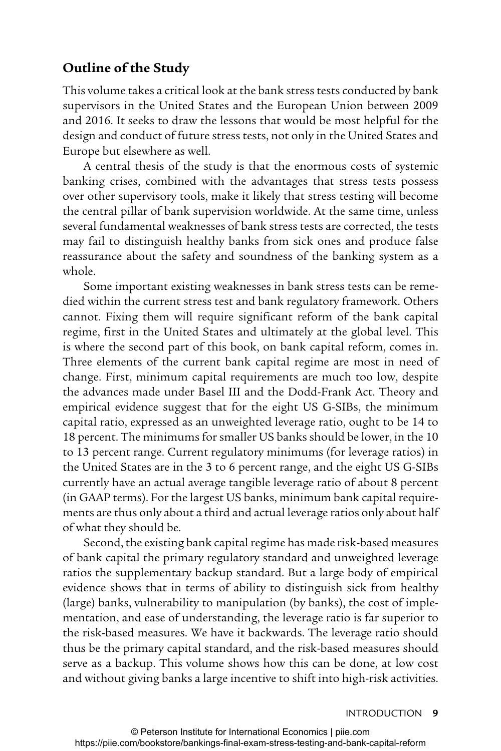# **Outline of the Study**

This volume takes a critical look at the bank stress tests conducted by bank supervisors in the United States and the European Union between 2009 and 2016. It seeks to draw the lessons that would be most helpful for the design and conduct of future stress tests, not only in the United States and Europe but elsewhere as well.

A central thesis of the study is that the enormous costs of systemic banking crises, combined with the advantages that stress tests possess over other supervisory tools, make it likely that stress testing will become the central pillar of bank supervision worldwide. At the same time, unless several fundamental weaknesses of bank stress tests are corrected, the tests may fail to distinguish healthy banks from sick ones and produce false reassurance about the safety and soundness of the banking system as a whole.

Some important existing weaknesses in bank stress tests can be remedied within the current stress test and bank regulatory framework. Others cannot. Fixing them will require significant reform of the bank capital regime, first in the United States and ultimately at the global level. This is where the second part of this book, on bank capital reform, comes in. Three elements of the current bank capital regime are most in need of change. First, minimum capital requirements are much too low, despite the advances made under Basel III and the Dodd-Frank Act. Theory and empirical evidence suggest that for the eight US G-SIBs, the minimum capital ratio, expressed as an unweighted leverage ratio, ought to be 14 to 18 percent. The minimums for smaller US banks should be lower, in the 10 to 13 percent range. Current regulatory minimums (for leverage ratios) in the United States are in the 3 to 6 percent range, and the eight US G-SIBs currently have an actual average tangible leverage ratio of about 8 percent (in GAAP terms). For the largest US banks, minimum bank capital requirements are thus only about a third and actual leverage ratios only about half of what they should be.

Second, the existing bank capital regime has made risk-based measures of bank capital the primary regulatory standard and unweighted leverage ratios the supplementary backup standard. But a large body of empirical evidence shows that in terms of ability to distinguish sick from healthy (large) banks, vulnerability to manipulation (by banks), the cost of implementation, and ease of understanding, the leverage ratio is far superior to the risk-based measures. We have it backwards. The leverage ratio should thus be the primary capital standard, and the risk-based measures should serve as a backup. This volume shows how this can be done, at low cost and without giving banks a large incentive to shift into high-risk activities.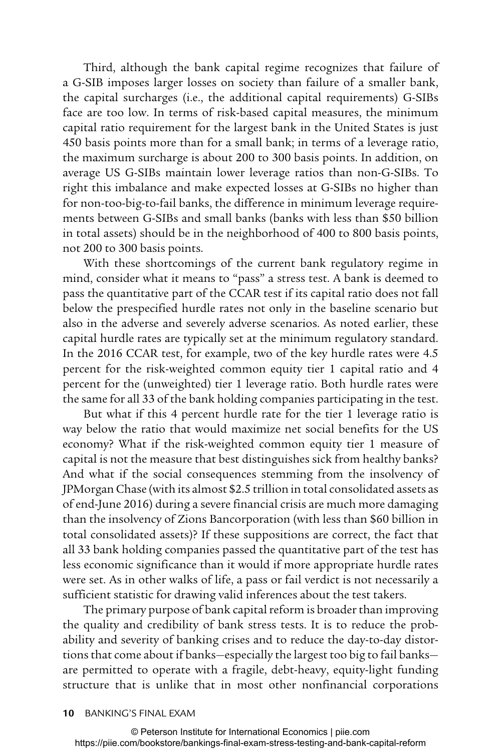Third, although the bank capital regime recognizes that failure of a G-SIB imposes larger losses on society than failure of a smaller bank, the capital surcharges (i.e., the additional capital requirements) G-SIBs face are too low. In terms of risk-based capital measures, the minimum capital ratio requirement for the largest bank in the United States is just 450 basis points more than for a small bank; in terms of a leverage ratio, the maximum surcharge is about 200 to 300 basis points. In addition, on average US G-SIBs maintain lower leverage ratios than non-G-SIBs. To right this imbalance and make expected losses at G-SIBs no higher than for non-too-big-to-fail banks, the difference in minimum leverage requirements between G-SIBs and small banks (banks with less than \$50 billion in total assets) should be in the neighborhood of 400 to 800 basis points, not 200 to 300 basis points.

With these shortcomings of the current bank regulatory regime in mind, consider what it means to "pass" a stress test. A bank is deemed to pass the quantitative part of the CCAR test if its capital ratio does not fall below the prespecified hurdle rates not only in the baseline scenario but also in the adverse and severely adverse scenarios. As noted earlier, these capital hurdle rates are typically set at the minimum regulatory standard. In the 2016 CCAR test, for example, two of the key hurdle rates were 4.5 percent for the risk-weighted common equity tier 1 capital ratio and 4 percent for the (unweighted) tier 1 leverage ratio. Both hurdle rates were the same for all 33 of the bank holding companies participating in the test.

But what if this 4 percent hurdle rate for the tier 1 leverage ratio is way below the ratio that would maximize net social benefits for the US economy? What if the risk-weighted common equity tier 1 measure of capital is not the measure that best distinguishes sick from healthy banks? And what if the social consequences stemming from the insolvency of JPMorgan Chase (with its almost \$2.5 trillion in total consolidated assets as of end-June 2016) during a severe financial crisis are much more damaging than the insolvency of Zions Bancorporation (with less than \$60 billion in total consolidated assets)? If these suppositions are correct, the fact that all 33 bank holding companies passed the quantitative part of the test has less economic significance than it would if more appropriate hurdle rates were set. As in other walks of life, a pass or fail verdict is not necessarily a sufficient statistic for drawing valid inferences about the test takers.

The primary purpose of bank capital reform is broader than improving the quality and credibility of bank stress tests. It is to reduce the probability and severity of banking crises and to reduce the day-to-day distortions that come about if banks—especially the largest too big to fail banks are permitted to operate with a fragile, debt-heavy, equity-light funding structure that is unlike that in most other nonfinancial corporations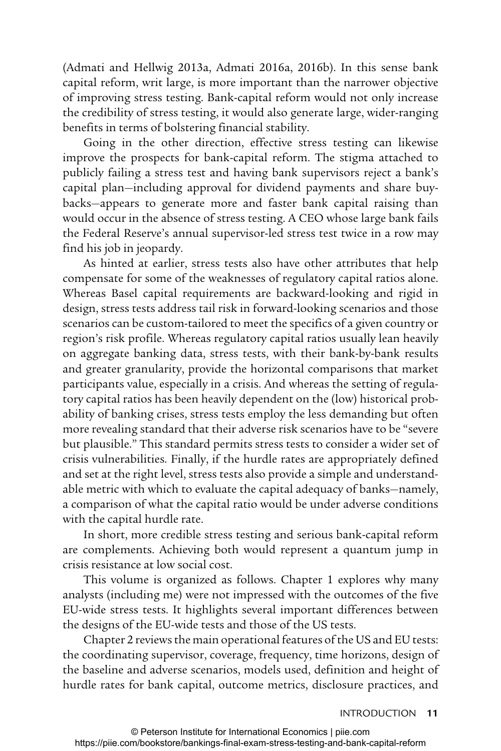(Admati and Hellwig 2013a, Admati 2016a, 2016b). In this sense bank capital reform, writ large, is more important than the narrower objective of improving stress testing. Bank-capital reform would not only increase the credibility of stress testing, it would also generate large, wider-ranging benefits in terms of bolstering financial stability.

Going in the other direction, effective stress testing can likewise improve the prospects for bank-capital reform. The stigma attached to publicly failing a stress test and having bank supervisors reject a bank's capital plan—including approval for dividend payments and share buybacks—appears to generate more and faster bank capital raising than would occur in the absence of stress testing. A CEO whose large bank fails the Federal Reserve's annual supervisor-led stress test twice in a row may find his job in jeopardy.

As hinted at earlier, stress tests also have other attributes that help compensate for some of the weaknesses of regulatory capital ratios alone. Whereas Basel capital requirements are backward-looking and rigid in design, stress tests address tail risk in forward-looking scenarios and those scenarios can be custom-tailored to meet the specifics of a given country or region's risk profile. Whereas regulatory capital ratios usually lean heavily on aggregate banking data, stress tests, with their bank-by-bank results and greater granularity, provide the horizontal comparisons that market participants value, especially in a crisis. And whereas the setting of regulatory capital ratios has been heavily dependent on the (low) historical probability of banking crises, stress tests employ the less demanding but often more revealing standard that their adverse risk scenarios have to be "severe but plausible." This standard permits stress tests to consider a wider set of crisis vulnerabilities. Finally, if the hurdle rates are appropriately defined and set at the right level, stress tests also provide a simple and understandable metric with which to evaluate the capital adequacy of banks—namely, a comparison of what the capital ratio would be under adverse conditions with the capital hurdle rate.

In short, more credible stress testing and serious bank-capital reform are complements. Achieving both would represent a quantum jump in crisis resistance at low social cost.

This volume is organized as follows. Chapter 1 explores why many analysts (including me) were not impressed with the outcomes of the five EU-wide stress tests. It highlights several important differences between the designs of the EU-wide tests and those of the US tests.

Chapter 2 reviews the main operational features of the US and EU tests: the coordinating supervisor, coverage, frequency, time horizons, design of the baseline and adverse scenarios, models used, definition and height of hurdle rates for bank capital, outcome metrics, disclosure practices, and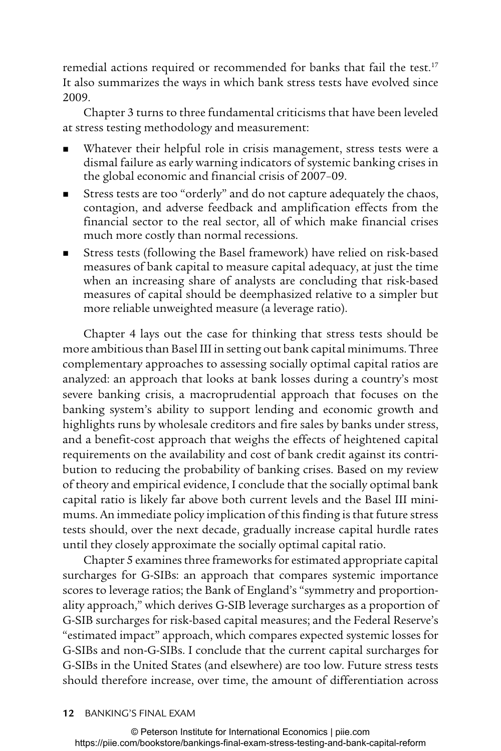remedial actions required or recommended for banks that fail the test.<sup>17</sup> It also summarizes the ways in which bank stress tests have evolved since 2009.

Chapter 3 turns to three fundamental criticisms that have been leveled at stress testing methodology and measurement:

- Whatever their helpful role in crisis management, stress tests were a dismal failure as early warning indicators of systemic banking crises in the global economic and financial crisis of 2007–09.
- Stress tests are too "orderly" and do not capture adequately the chaos, contagion, and adverse feedback and amplification effects from the financial sector to the real sector, all of which make financial crises much more costly than normal recessions.
- Stress tests (following the Basel framework) have relied on risk-based measures of bank capital to measure capital adequacy, at just the time when an increasing share of analysts are concluding that risk-based measures of capital should be deemphasized relative to a simpler but more reliable unweighted measure (a leverage ratio).

Chapter 4 lays out the case for thinking that stress tests should be more ambitious than Basel III in setting out bank capital minimums. Three complementary approaches to assessing socially optimal capital ratios are analyzed: an approach that looks at bank losses during a country's most severe banking crisis, a macroprudential approach that focuses on the banking system's ability to support lending and economic growth and highlights runs by wholesale creditors and fire sales by banks under stress, and a benefit-cost approach that weighs the effects of heightened capital requirements on the availability and cost of bank credit against its contribution to reducing the probability of banking crises. Based on my review of theory and empirical evidence, I conclude that the socially optimal bank capital ratio is likely far above both current levels and the Basel III minimums. An immediate policy implication of this finding is that future stress tests should, over the next decade, gradually increase capital hurdle rates until they closely approximate the socially optimal capital ratio.

Chapter 5 examines three frameworks for estimated appropriate capital surcharges for G-SIBs: an approach that compares systemic importance scores to leverage ratios; the Bank of England's "symmetry and proportionality approach," which derives G-SIB leverage surcharges as a proportion of G-SIB surcharges for risk-based capital measures; and the Federal Reserve's "estimated impact" approach, which compares expected systemic losses for G-SIBs and non-G-SIBs. I conclude that the current capital surcharges for G-SIBs in the United States (and elsewhere) are too low. Future stress tests should therefore increase, over time, the amount of differentiation across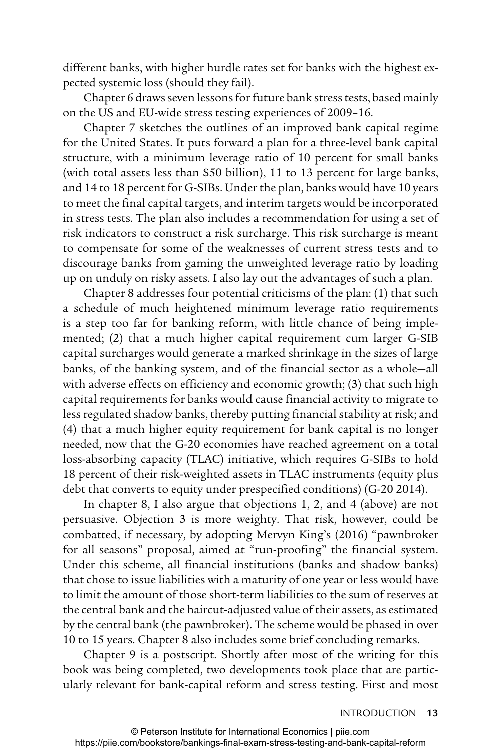different banks, with higher hurdle rates set for banks with the highest expected systemic loss (should they fail).

Chapter 6 draws seven lessons for future bank stress tests, based mainly on the US and EU-wide stress testing experiences of 2009–16.

Chapter 7 sketches the outlines of an improved bank capital regime for the United States. It puts forward a plan for a three-level bank capital structure, with a minimum leverage ratio of 10 percent for small banks (with total assets less than \$50 billion), 11 to 13 percent for large banks, and 14 to 18 percent for G-SIBs. Under the plan, banks would have 10 years to meet the final capital targets, and interim targets would be incorporated in stress tests. The plan also includes a recommendation for using a set of risk indicators to construct a risk surcharge. This risk surcharge is meant to compensate for some of the weaknesses of current stress tests and to discourage banks from gaming the unweighted leverage ratio by loading up on unduly on risky assets. I also lay out the advantages of such a plan.

Chapter 8 addresses four potential criticisms of the plan: (1) that such a schedule of much heightened minimum leverage ratio requirements is a step too far for banking reform, with little chance of being implemented; (2) that a much higher capital requirement cum larger G-SIB capital surcharges would generate a marked shrinkage in the sizes of large banks, of the banking system, and of the financial sector as a whole—all with adverse effects on efficiency and economic growth; (3) that such high capital requirements for banks would cause financial activity to migrate to less regulated shadow banks, thereby putting financial stability at risk; and (4) that a much higher equity requirement for bank capital is no longer needed, now that the G-20 economies have reached agreement on a total loss-absorbing capacity (TLAC) initiative, which requires G-SIBs to hold 18 percent of their risk-weighted assets in TLAC instruments (equity plus debt that converts to equity under prespecified conditions) (G-20 2014).

In chapter 8, I also argue that objections 1, 2, and 4 (above) are not persuasive. Objection 3 is more weighty. That risk, however, could be combatted, if necessary, by adopting Mervyn King's (2016) "pawnbroker for all seasons" proposal, aimed at "run-proofing" the financial system. Under this scheme, all financial institutions (banks and shadow banks) that chose to issue liabilities with a maturity of one year or less would have to limit the amount of those short-term liabilities to the sum of reserves at the central bank and the haircut-adjusted value of their assets, as estimated by the central bank (the pawnbroker). The scheme would be phased in over 10 to 15 years. Chapter 8 also includes some brief concluding remarks.

Chapter 9 is a postscript. Shortly after most of the writing for this book was being completed, two developments took place that are particularly relevant for bank-capital reform and stress testing. First and most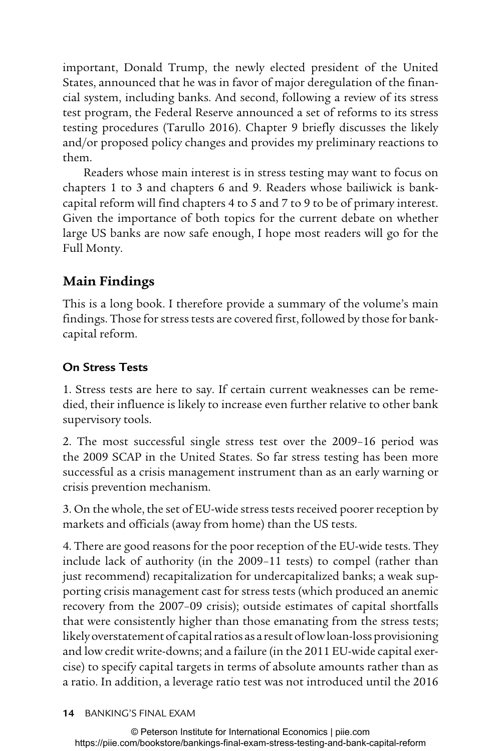important, Donald Trump, the newly elected president of the United States, announced that he was in favor of major deregulation of the financial system, including banks. And second, following a review of its stress test program, the Federal Reserve announced a set of reforms to its stress testing procedures (Tarullo 2016). Chapter 9 briefly discusses the likely and/or proposed policy changes and provides my preliminary reactions to them.

Readers whose main interest is in stress testing may want to focus on chapters 1 to 3 and chapters 6 and 9. Readers whose bailiwick is bankcapital reform will find chapters 4 to 5 and 7 to 9 to be of primary interest. Given the importance of both topics for the current debate on whether large US banks are now safe enough, I hope most readers will go for the Full Monty.

# **Main Findings**

This is a long book. I therefore provide a summary of the volume's main findings. Those for stress tests are covered first, followed by those for bankcapital reform.

### **On Stress Tests**

1. Stress tests are here to say. If certain current weaknesses can be remedied, their influence is likely to increase even further relative to other bank supervisory tools.

2. The most successful single stress test over the 2009–16 period was the 2009 SCAP in the United States. So far stress testing has been more successful as a crisis management instrument than as an early warning or crisis prevention mechanism.

3. On the whole, the set of EU-wide stress tests received poorer reception by markets and officials (away from home) than the US tests.

4. There are good reasons for the poor reception of the EU-wide tests. They include lack of authority (in the 2009–11 tests) to compel (rather than just recommend) recapitalization for undercapitalized banks; a weak supporting crisis management cast for stress tests (which produced an anemic recovery from the 2007–09 crisis); outside estimates of capital shortfalls that were consistently higher than those emanating from the stress tests; likely overstatement of capital ratios as a result of low loan-loss provisioning and low credit write-downs; and a failure (in the 2011 EU-wide capital exercise) to specify capital targets in terms of absolute amounts rather than as a ratio. In addition, a leverage ratio test was not introduced until the 2016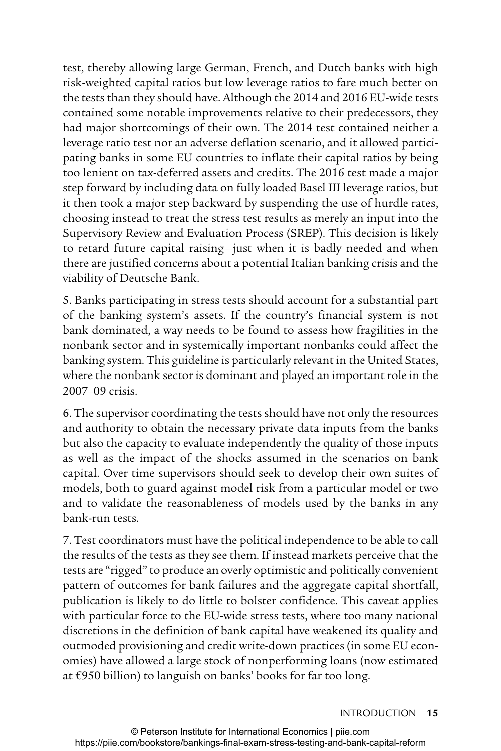test, thereby allowing large German, French, and Dutch banks with high risk-weighted capital ratios but low leverage ratios to fare much better on the tests than they should have. Although the 2014 and 2016 EU-wide tests contained some notable improvements relative to their predecessors, they had major shortcomings of their own. The 2014 test contained neither a leverage ratio test nor an adverse deflation scenario, and it allowed participating banks in some EU countries to inflate their capital ratios by being too lenient on tax-deferred assets and credits. The 2016 test made a major step forward by including data on fully loaded Basel III leverage ratios, but it then took a major step backward by suspending the use of hurdle rates, choosing instead to treat the stress test results as merely an input into the Supervisory Review and Evaluation Process (SREP). This decision is likely to retard future capital raising—just when it is badly needed and when there are justified concerns about a potential Italian banking crisis and the viability of Deutsche Bank.

5. Banks participating in stress tests should account for a substantial part of the banking system's assets. If the country's financial system is not bank dominated, a way needs to be found to assess how fragilities in the nonbank sector and in systemically important nonbanks could affect the banking system. This guideline is particularly relevant in the United States, where the nonbank sector is dominant and played an important role in the 2007–09 crisis.

6. The supervisor coordinating the tests should have not only the resources and authority to obtain the necessary private data inputs from the banks but also the capacity to evaluate independently the quality of those inputs as well as the impact of the shocks assumed in the scenarios on bank capital. Over time supervisors should seek to develop their own suites of models, both to guard against model risk from a particular model or two and to validate the reasonableness of models used by the banks in any bank-run tests.

7. Test coordinators must have the political independence to be able to call the results of the tests as they see them. If instead markets perceive that the tests are "rigged" to produce an overly optimistic and politically convenient pattern of outcomes for bank failures and the aggregate capital shortfall, publication is likely to do little to bolster confidence. This caveat applies with particular force to the EU-wide stress tests, where too many national discretions in the definition of bank capital have weakened its quality and outmoded provisioning and credit write-down practices (in some EU economies) have allowed a large stock of nonperforming loans (now estimated at €950 billion) to languish on banks' books for far too long.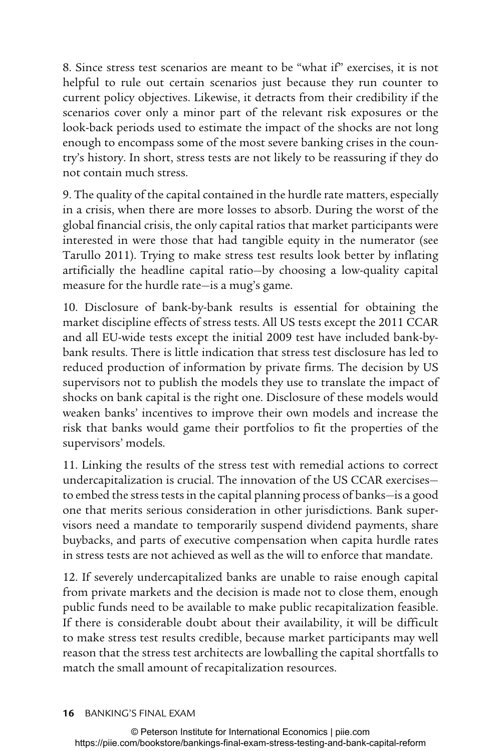8. Since stress test scenarios are meant to be "what if" exercises, it is not helpful to rule out certain scenarios just because they run counter to current policy objectives. Likewise, it detracts from their credibility if the scenarios cover only a minor part of the relevant risk exposures or the look-back periods used to estimate the impact of the shocks are not long enough to encompass some of the most severe banking crises in the country's history. In short, stress tests are not likely to be reassuring if they do not contain much stress.

9. The quality of the capital contained in the hurdle rate matters, especially in a crisis, when there are more losses to absorb. During the worst of the global financial crisis, the only capital ratios that market participants were interested in were those that had tangible equity in the numerator (see Tarullo 2011). Trying to make stress test results look better by inflating artificially the headline capital ratio—by choosing a low-quality capital measure for the hurdle rate—is a mug's game.

10. Disclosure of bank-by-bank results is essential for obtaining the market discipline effects of stress tests. All US tests except the 2011 CCAR and all EU-wide tests except the initial 2009 test have included bank-bybank results. There is little indication that stress test disclosure has led to reduced production of information by private firms. The decision by US supervisors not to publish the models they use to translate the impact of shocks on bank capital is the right one. Disclosure of these models would weaken banks' incentives to improve their own models and increase the risk that banks would game their portfolios to fit the properties of the supervisors' models.

11. Linking the results of the stress test with remedial actions to correct undercapitalization is crucial. The innovation of the US CCAR exercises to embed the stress tests in the capital planning process of banks—is a good one that merits serious consideration in other jurisdictions. Bank supervisors need a mandate to temporarily suspend dividend payments, share buybacks, and parts of executive compensation when capita hurdle rates in stress tests are not achieved as well as the will to enforce that mandate.

12. If severely undercapitalized banks are unable to raise enough capital from private markets and the decision is made not to close them, enough public funds need to be available to make public recapitalization feasible. If there is considerable doubt about their availability, it will be difficult to make stress test results credible, because market participants may well reason that the stress test architects are lowballing the capital shortfalls to match the small amount of recapitalization resources.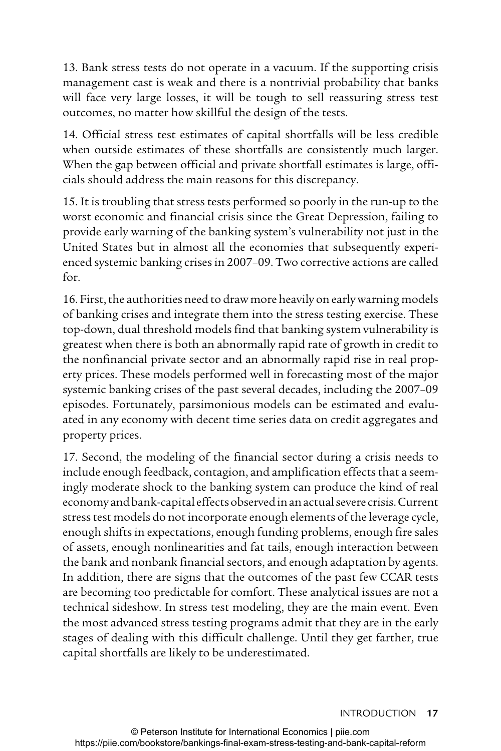13. Bank stress tests do not operate in a vacuum. If the supporting crisis management cast is weak and there is a nontrivial probability that banks will face very large losses, it will be tough to sell reassuring stress test outcomes, no matter how skillful the design of the tests.

14. Official stress test estimates of capital shortfalls will be less credible when outside estimates of these shortfalls are consistently much larger. When the gap between official and private shortfall estimates is large, officials should address the main reasons for this discrepancy.

15. It is troubling that stress tests performed so poorly in the run-up to the worst economic and financial crisis since the Great Depression, failing to provide early warning of the banking system's vulnerability not just in the United States but in almost all the economies that subsequently experienced systemic banking crises in 2007–09. Two corrective actions are called for.

16. First, the authorities need to draw more heavily on early warning models of banking crises and integrate them into the stress testing exercise. These top-down, dual threshold models find that banking system vulnerability is greatest when there is both an abnormally rapid rate of growth in credit to the nonfinancial private sector and an abnormally rapid rise in real property prices. These models performed well in forecasting most of the major systemic banking crises of the past several decades, including the 2007–09 episodes. Fortunately, parsimonious models can be estimated and evaluated in any economy with decent time series data on credit aggregates and property prices.

17. Second, the modeling of the financial sector during a crisis needs to include enough feedback, contagion, and amplification effects that a seemingly moderate shock to the banking system can produce the kind of real economy and bank-capital effects observed in an actual severe crisis. Current stress test models do not incorporate enough elements of the leverage cycle, enough shifts in expectations, enough funding problems, enough fire sales of assets, enough nonlinearities and fat tails, enough interaction between the bank and nonbank financial sectors, and enough adaptation by agents. In addition, there are signs that the outcomes of the past few CCAR tests are becoming too predictable for comfort. These analytical issues are not a technical sideshow. In stress test modeling, they are the main event. Even the most advanced stress testing programs admit that they are in the early stages of dealing with this difficult challenge. Until they get farther, true capital shortfalls are likely to be underestimated.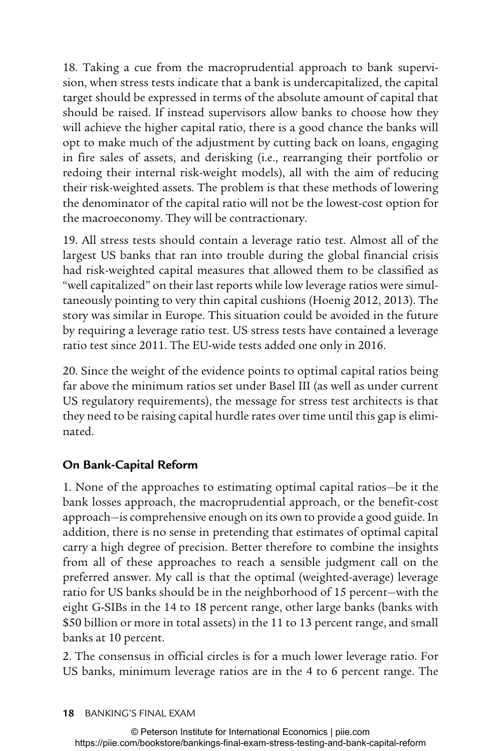18. Taking a cue from the macroprudential approach to bank supervision, when stress tests indicate that a bank is undercapitalized, the capital target should be expressed in terms of the absolute amount of capital that should be raised. If instead supervisors allow banks to choose how they will achieve the higher capital ratio, there is a good chance the banks will opt to make much of the adjustment by cutting back on loans, engaging in fire sales of assets, and derisking (i.e., rearranging their portfolio or redoing their internal risk-weight models), all with the aim of reducing their risk-weighted assets. The problem is that these methods of lowering the denominator of the capital ratio will not be the lowest-cost option for the macroeconomy. They will be contractionary.

19. All stress tests should contain a leverage ratio test. Almost all of the largest US banks that ran into trouble during the global financial crisis had risk-weighted capital measures that allowed them to be classified as "well capitalized" on their last reports while low leverage ratios were simultaneously pointing to very thin capital cushions (Hoenig 2012, 2013). The story was similar in Europe. This situation could be avoided in the future by requiring a leverage ratio test. US stress tests have contained a leverage ratio test since 2011. The EU-wide tests added one only in 2016.

20. Since the weight of the evidence points to optimal capital ratios being far above the minimum ratios set under Basel III (as well as under current US regulatory requirements), the message for stress test architects is that they need to be raising capital hurdle rates over time until this gap is eliminated.

# **On Bank-Capital Reform**

1. None of the approaches to estimating optimal capital ratios—be it the bank losses approach, the macroprudential approach, or the benefit-cost approach—is comprehensive enough on its own to provide a good guide. In addition, there is no sense in pretending that estimates of optimal capital carry a high degree of precision. Better therefore to combine the insights from all of these approaches to reach a sensible judgment call on the preferred answer. My call is that the optimal (weighted-average) leverage ratio for US banks should be in the neighborhood of 15 percent—with the eight G-SIBs in the 14 to 18 percent range, other large banks (banks with \$50 billion or more in total assets) in the 11 to 13 percent range, and small banks at 10 percent.

2. The consensus in official circles is for a much lower leverage ratio. For US banks, minimum leverage ratios are in the 4 to 6 percent range. The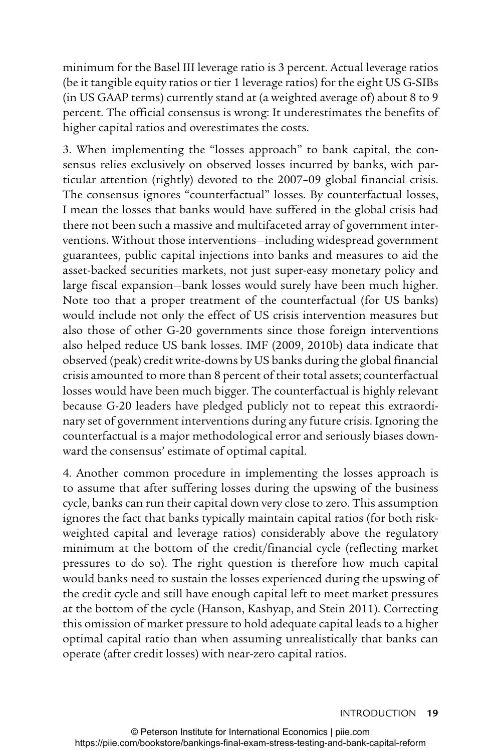minimum for the Basel III leverage ratio is 3 percent. Actual leverage ratios (be it tangible equity ratios or tier 1 leverage ratios) for the eight US G-SIBs (in US GAAP terms) currently stand at (a weighted average of) about 8 to 9 percent. The official consensus is wrong: It underestimates the benefits of higher capital ratios and overestimates the costs.

3. When implementing the "losses approach" to bank capital, the consensus relies exclusively on observed losses incurred by banks, with particular attention (rightly) devoted to the 2007–09 global financial crisis. The consensus ignores "counterfactual" losses. By counterfactual losses, I mean the losses that banks would have suffered in the global crisis had there not been such a massive and multifaceted array of government interventions. Without those interventions—including widespread government guarantees, public capital injections into banks and measures to aid the asset-backed securities markets, not just super-easy monetary policy and large fiscal expansion—bank losses would surely have been much higher. Note too that a proper treatment of the counterfactual (for US banks) would include not only the effect of US crisis intervention measures but also those of other G-20 governments since those foreign interventions also helped reduce US bank losses. IMF (2009, 2010b) data indicate that observed (peak) credit write-downs by US banks during the global financial crisis amounted to more than 8 percent of their total assets; counterfactual losses would have been much bigger. The counterfactual is highly relevant because G-20 leaders have pledged publicly not to repeat this extraordinary set of government interventions during any future crisis. Ignoring the counterfactual is a major methodological error and seriously biases downward the consensus' estimate of optimal capital.

4. Another common procedure in implementing the losses approach is to assume that after suffering losses during the upswing of the business cycle, banks can run their capital down very close to zero. This assumption ignores the fact that banks typically maintain capital ratios (for both riskweighted capital and leverage ratios) considerably above the regulatory minimum at the bottom of the credit/financial cycle (reflecting market pressures to do so). The right question is therefore how much capital would banks need to sustain the losses experienced during the upswing of the credit cycle and still have enough capital left to meet market pressures at the bottom of the cycle (Hanson, Kashyap, and Stein 2011). Correcting this omission of market pressure to hold adequate capital leads to a higher optimal capital ratio than when assuming unrealistically that banks can operate (after credit losses) with near-zero capital ratios.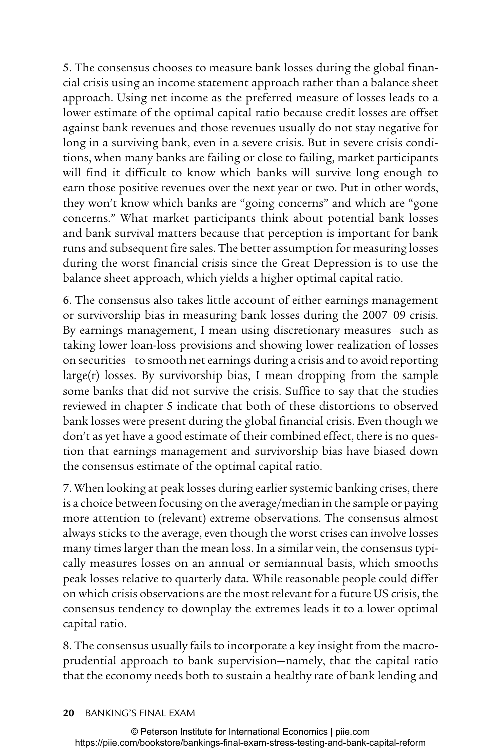5. The consensus chooses to measure bank losses during the global financial crisis using an income statement approach rather than a balance sheet approach. Using net income as the preferred measure of losses leads to a lower estimate of the optimal capital ratio because credit losses are offset against bank revenues and those revenues usually do not stay negative for long in a surviving bank, even in a severe crisis. But in severe crisis conditions, when many banks are failing or close to failing, market participants will find it difficult to know which banks will survive long enough to earn those positive revenues over the next year or two. Put in other words, they won't know which banks are "going concerns" and which are "gone concerns." What market participants think about potential bank losses and bank survival matters because that perception is important for bank runs and subsequent fire sales. The better assumption for measuring losses during the worst financial crisis since the Great Depression is to use the balance sheet approach, which yields a higher optimal capital ratio.

6. The consensus also takes little account of either earnings management or survivorship bias in measuring bank losses during the 2007–09 crisis. By earnings management, I mean using discretionary measures—such as taking lower loan-loss provisions and showing lower realization of losses on securities—to smooth net earnings during a crisis and to avoid reporting large(r) losses. By survivorship bias, I mean dropping from the sample some banks that did not survive the crisis. Suffice to say that the studies reviewed in chapter 5 indicate that both of these distortions to observed bank losses were present during the global financial crisis. Even though we don't as yet have a good estimate of their combined effect, there is no question that earnings management and survivorship bias have biased down the consensus estimate of the optimal capital ratio.

7. When looking at peak losses during earlier systemic banking crises, there is a choice between focusing on the average/median in the sample or paying more attention to (relevant) extreme observations. The consensus almost always sticks to the average, even though the worst crises can involve losses many times larger than the mean loss. In a similar vein, the consensus typically measures losses on an annual or semiannual basis, which smooths peak losses relative to quarterly data. While reasonable people could differ on which crisis observations are the most relevant for a future US crisis, the consensus tendency to downplay the extremes leads it to a lower optimal capital ratio.

8. The consensus usually fails to incorporate a key insight from the macroprudential approach to bank supervision—namely, that the capital ratio that the economy needs both to sustain a healthy rate of bank lending and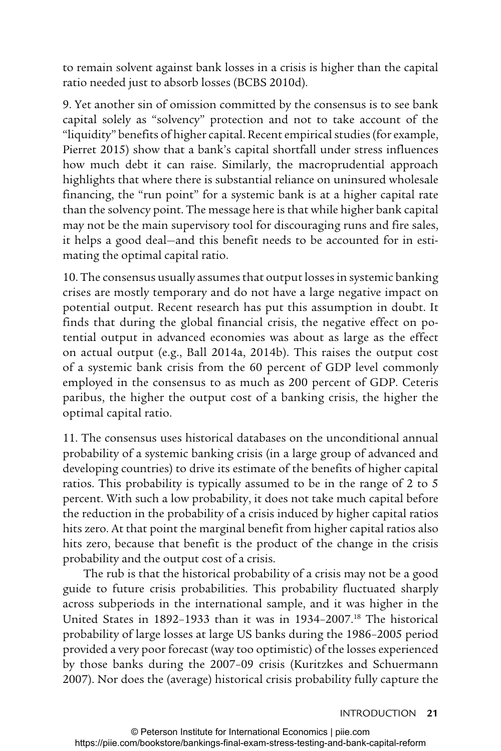to remain solvent against bank losses in a crisis is higher than the capital ratio needed just to absorb losses (BCBS 2010d).

9. Yet another sin of omission committed by the consensus is to see bank capital solely as "solvency" protection and not to take account of the "liquidity" benefits of higher capital. Recent empirical studies (for example, Pierret 2015) show that a bank's capital shortfall under stress influences how much debt it can raise. Similarly, the macroprudential approach highlights that where there is substantial reliance on uninsured wholesale financing, the "run point" for a systemic bank is at a higher capital rate than the solvency point. The message here is that while higher bank capital may not be the main supervisory tool for discouraging runs and fire sales, it helps a good deal—and this benefit needs to be accounted for in estimating the optimal capital ratio.

10. The consensus usually assumes that output losses in systemic banking crises are mostly temporary and do not have a large negative impact on potential output. Recent research has put this assumption in doubt. It finds that during the global financial crisis, the negative effect on potential output in advanced economies was about as large as the effect on actual output (e.g., Ball 2014a, 2014b). This raises the output cost of a systemic bank crisis from the 60 percent of GDP level commonly employed in the consensus to as much as 200 percent of GDP. Ceteris paribus, the higher the output cost of a banking crisis, the higher the optimal capital ratio.

11. The consensus uses historical databases on the unconditional annual probability of a systemic banking crisis (in a large group of advanced and developing countries) to drive its estimate of the benefits of higher capital ratios. This probability is typically assumed to be in the range of 2 to 5 percent. With such a low probability, it does not take much capital before the reduction in the probability of a crisis induced by higher capital ratios hits zero. At that point the marginal benefit from higher capital ratios also hits zero, because that benefit is the product of the change in the crisis probability and the output cost of a crisis.

The rub is that the historical probability of a crisis may not be a good guide to future crisis probabilities. This probability fluctuated sharply across subperiods in the international sample, and it was higher in the United States in 1892-1933 than it was in 1934-2007.<sup>18</sup> The historical probability of large losses at large US banks during the 1986–2005 period provided a very poor forecast (way too optimistic) of the losses experienced by those banks during the 2007–09 crisis (Kuritzkes and Schuermann 2007). Nor does the (average) historical crisis probability fully capture the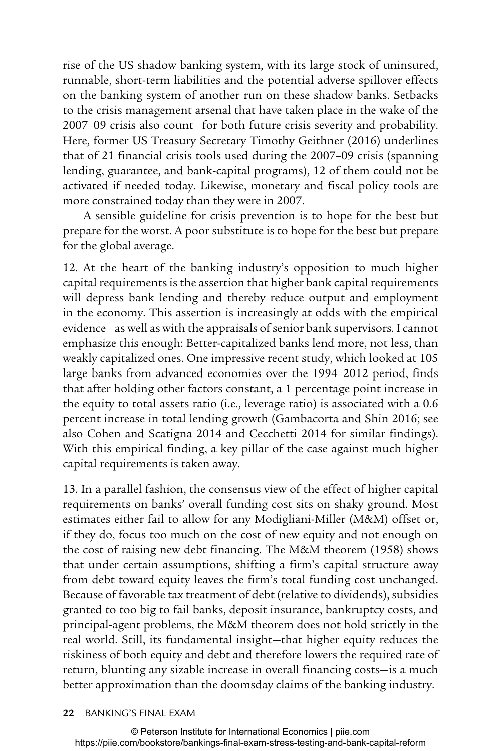rise of the US shadow banking system, with its large stock of uninsured, runnable, short-term liabilities and the potential adverse spillover effects on the banking system of another run on these shadow banks. Setbacks to the crisis management arsenal that have taken place in the wake of the 2007–09 crisis also count—for both future crisis severity and probability. Here, former US Treasury Secretary Timothy Geithner (2016) underlines that of 21 financial crisis tools used during the 2007–09 crisis (spanning lending, guarantee, and bank-capital programs), 12 of them could not be activated if needed today. Likewise, monetary and fiscal policy tools are more constrained today than they were in 2007.

A sensible guideline for crisis prevention is to hope for the best but prepare for the worst. A poor substitute is to hope for the best but prepare for the global average.

12. At the heart of the banking industry's opposition to much higher capital requirements is the assertion that higher bank capital requirements will depress bank lending and thereby reduce output and employment in the economy. This assertion is increasingly at odds with the empirical evidence—as well as with the appraisals of senior bank supervisors. I cannot emphasize this enough: Better-capitalized banks lend more, not less, than weakly capitalized ones. One impressive recent study, which looked at 105 large banks from advanced economies over the 1994–2012 period, finds that after holding other factors constant, a 1 percentage point increase in the equity to total assets ratio (i.e., leverage ratio) is associated with a 0.6 percent increase in total lending growth (Gambacorta and Shin 2016; see also Cohen and Scatigna 2014 and Cecchetti 2014 for similar findings). With this empirical finding, a key pillar of the case against much higher capital requirements is taken away.

13. In a parallel fashion, the consensus view of the effect of higher capital requirements on banks' overall funding cost sits on shaky ground. Most estimates either fail to allow for any Modigliani-Miller (M&M) offset or, if they do, focus too much on the cost of new equity and not enough on the cost of raising new debt financing. The M&M theorem (1958) shows that under certain assumptions, shifting a firm's capital structure away from debt toward equity leaves the firm's total funding cost unchanged. Because of favorable tax treatment of debt (relative to dividends), subsidies granted to too big to fail banks, deposit insurance, bankruptcy costs, and principal-agent problems, the M&M theorem does not hold strictly in the real world. Still, its fundamental insight—that higher equity reduces the riskiness of both equity and debt and therefore lowers the required rate of return, blunting any sizable increase in overall financing costs—is a much better approximation than the doomsday claims of the banking industry.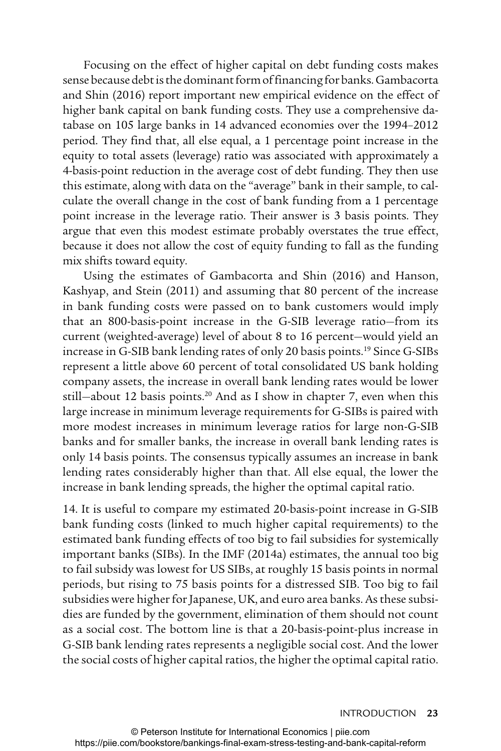Focusing on the effect of higher capital on debt funding costs makes sense because debt is the dominant form of financing for banks. Gambacorta and Shin (2016) report important new empirical evidence on the effect of higher bank capital on bank funding costs. They use a comprehensive database on 105 large banks in 14 advanced economies over the 1994–2012 period. They find that, all else equal, a 1 percentage point increase in the equity to total assets (leverage) ratio was associated with approximately a 4-basis-point reduction in the average cost of debt funding. They then use this estimate, along with data on the "average" bank in their sample, to calculate the overall change in the cost of bank funding from a 1 percentage point increase in the leverage ratio. Their answer is 3 basis points. They argue that even this modest estimate probably overstates the true effect, because it does not allow the cost of equity funding to fall as the funding mix shifts toward equity.

Using the estimates of Gambacorta and Shin (2016) and Hanson, Kashyap, and Stein (2011) and assuming that 80 percent of the increase in bank funding costs were passed on to bank customers would imply that an 800-basis-point increase in the G-SIB leverage ratio—from its current (weighted-average) level of about 8 to 16 percent—would yield an increase in G-SIB bank lending rates of only 20 basis points.<sup>19</sup> Since G-SIBs represent a little above 60 percent of total consolidated US bank holding company assets, the increase in overall bank lending rates would be lower still-about 12 basis points.<sup>20</sup> And as I show in chapter 7, even when this large increase in minimum leverage requirements for G-SIBs is paired with more modest increases in minimum leverage ratios for large non-G-SIB banks and for smaller banks, the increase in overall bank lending rates is only 14 basis points. The consensus typically assumes an increase in bank lending rates considerably higher than that. All else equal, the lower the increase in bank lending spreads, the higher the optimal capital ratio.

14. It is useful to compare my estimated 20-basis-point increase in G-SIB bank funding costs (linked to much higher capital requirements) to the estimated bank funding effects of too big to fail subsidies for systemically important banks (SIBs). In the IMF (2014a) estimates, the annual too big to fail subsidy was lowest for US SIBs, at roughly 15 basis points in normal periods, but rising to 75 basis points for a distressed SIB. Too big to fail subsidies were higher for Japanese, UK, and euro area banks. As these subsidies are funded by the government, elimination of them should not count as a social cost. The bottom line is that a 20-basis-point-plus increase in G-SIB bank lending rates represents a negligible social cost. And the lower the social costs of higher capital ratios, the higher the optimal capital ratio.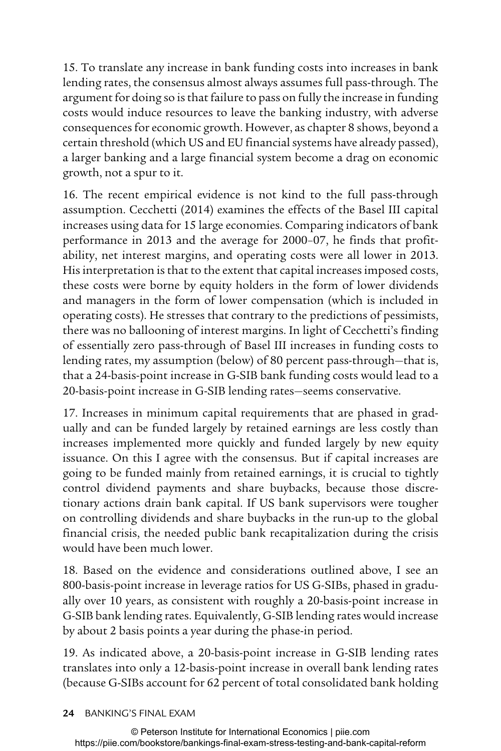15. To translate any increase in bank funding costs into increases in bank lending rates, the consensus almost always assumes full pass-through. The argument for doing so is that failure to pass on fully the increase in funding costs would induce resources to leave the banking industry, with adverse consequences for economic growth. However, as chapter 8 shows, beyond a certain threshold (which US and EU financial systems have already passed), a larger banking and a large financial system become a drag on economic growth, not a spur to it.

16. The recent empirical evidence is not kind to the full pass-through assumption. Cecchetti (2014) examines the effects of the Basel III capital increases using data for 15 large economies. Comparing indicators of bank performance in 2013 and the average for 2000–07, he finds that profitability, net interest margins, and operating costs were all lower in 2013. His interpretation is that to the extent that capital increases imposed costs, these costs were borne by equity holders in the form of lower dividends and managers in the form of lower compensation (which is included in operating costs). He stresses that contrary to the predictions of pessimists, there was no ballooning of interest margins. In light of Cecchetti's finding of essentially zero pass-through of Basel III increases in funding costs to lending rates, my assumption (below) of 80 percent pass-through—that is, that a 24-basis-point increase in G-SIB bank funding costs would lead to a 20-basis-point increase in G-SIB lending rates—seems conservative.

17. Increases in minimum capital requirements that are phased in gradually and can be funded largely by retained earnings are less costly than increases implemented more quickly and funded largely by new equity issuance. On this I agree with the consensus. But if capital increases are going to be funded mainly from retained earnings, it is crucial to tightly control dividend payments and share buybacks, because those discretionary actions drain bank capital. If US bank supervisors were tougher on controlling dividends and share buybacks in the run-up to the global financial crisis, the needed public bank recapitalization during the crisis would have been much lower.

18. Based on the evidence and considerations outlined above, I see an 800-basis-point increase in leverage ratios for US G-SIBs, phased in gradually over 10 years, as consistent with roughly a 20-basis-point increase in G-SIB bank lending rates. Equivalently, G-SIB lending rates would increase by about 2 basis points a year during the phase-in period.

19. As indicated above, a 20-basis-point increase in G-SIB lending rates translates into only a 12-basis-point increase in overall bank lending rates (because G-SIBs account for 62 percent of total consolidated bank holding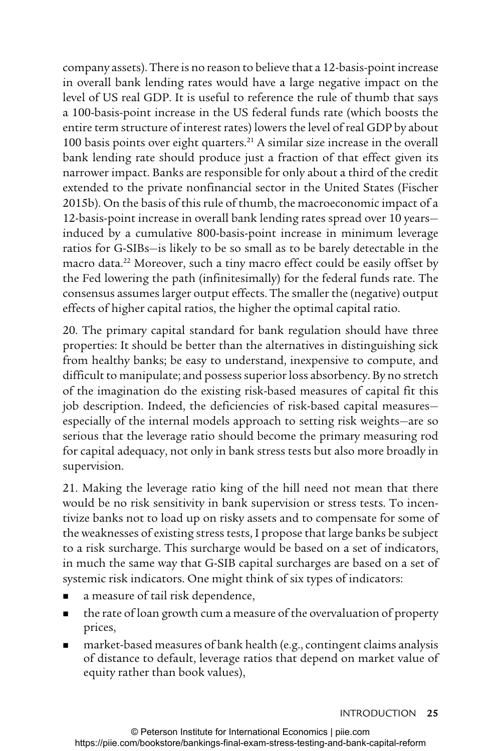company assets). There is no reason to believe that a 12-basis-point increase in overall bank lending rates would have a large negative impact on the level of US real GDP. It is useful to reference the rule of thumb that says a 100-basis-point increase in the US federal funds rate (which boosts the entire term structure of interest rates) lowers the level of real GDP by about 100 basis points over eight quarters.<sup>21</sup> A similar size increase in the overall bank lending rate should produce just a fraction of that effect given its narrower impact. Banks are responsible for only about a third of the credit extended to the private nonfinancial sector in the United States (Fischer 2015b). On the basis of this rule of thumb, the macroeconomic impact of a 12-basis-point increase in overall bank lending rates spread over 10 years induced by a cumulative 800-basis-point increase in minimum leverage ratios for G-SIBs—is likely to be so small as to be barely detectable in the macro data.<sup>22</sup> Moreover, such a tiny macro effect could be easily offset by the Fed lowering the path (infinitesimally) for the federal funds rate. The consensus assumes larger output effects. The smaller the (negative) output effects of higher capital ratios, the higher the optimal capital ratio.

20. The primary capital standard for bank regulation should have three properties: It should be better than the alternatives in distinguishing sick from healthy banks; be easy to understand, inexpensive to compute, and difficult to manipulate; and possess superior loss absorbency. By no stretch of the imagination do the existing risk-based measures of capital fit this job description. Indeed, the deficiencies of risk-based capital measures especially of the internal models approach to setting risk weights—are so serious that the leverage ratio should become the primary measuring rod for capital adequacy, not only in bank stress tests but also more broadly in supervision.

21. Making the leverage ratio king of the hill need not mean that there would be no risk sensitivity in bank supervision or stress tests. To incentivize banks not to load up on risky assets and to compensate for some of the weaknesses of existing stress tests, I propose that large banks be subject to a risk surcharge. This surcharge would be based on a set of indicators, in much the same way that G-SIB capital surcharges are based on a set of systemic risk indicators. One might think of six types of indicators:

- <sup>n</sup> a measure of tail risk dependence,
- the rate of loan growth cum a measure of the overvaluation of property prices,
- market-based measures of bank health (e.g., contingent claims analysis of distance to default, leverage ratios that depend on market value of equity rather than book values),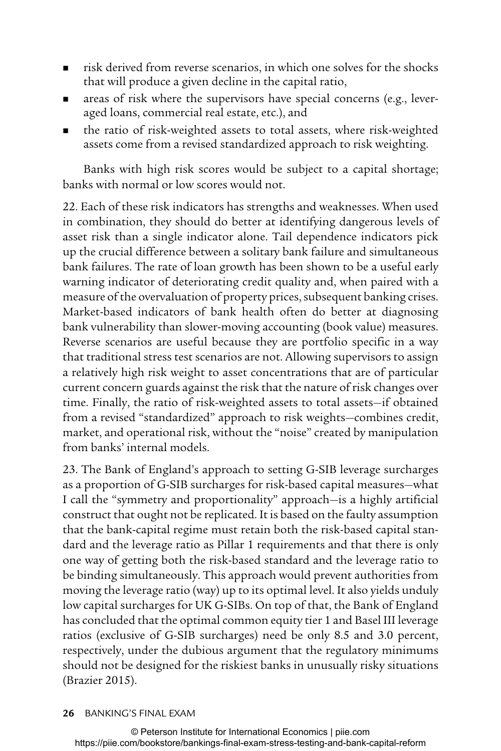- risk derived from reverse scenarios, in which one solves for the shocks that will produce a given decline in the capital ratio,
- areas of risk where the supervisors have special concerns (e.g., leveraged loans, commercial real estate, etc.), and
- the ratio of risk-weighted assets to total assets, where risk-weighted assets come from a revised standardized approach to risk weighting.

Banks with high risk scores would be subject to a capital shortage; banks with normal or low scores would not.

22. Each of these risk indicators has strengths and weaknesses. When used in combination, they should do better at identifying dangerous levels of asset risk than a single indicator alone. Tail dependence indicators pick up the crucial difference between a solitary bank failure and simultaneous bank failures. The rate of loan growth has been shown to be a useful early warning indicator of deteriorating credit quality and, when paired with a measure of the overvaluation of property prices, subsequent banking crises. Market-based indicators of bank health often do better at diagnosing bank vulnerability than slower-moving accounting (book value) measures. Reverse scenarios are useful because they are portfolio specific in a way that traditional stress test scenarios are not. Allowing supervisors to assign a relatively high risk weight to asset concentrations that are of particular current concern guards against the risk that the nature of risk changes over time. Finally, the ratio of risk-weighted assets to total assets—if obtained from a revised "standardized" approach to risk weights—combines credit, market, and operational risk, without the "noise" created by manipulation from banks' internal models.

23. The Bank of England's approach to setting G-SIB leverage surcharges as a proportion of G-SIB surcharges for risk-based capital measures—what I call the "symmetry and proportionality" approach—is a highly artificial construct that ought not be replicated. It is based on the faulty assumption that the bank-capital regime must retain both the risk-based capital standard and the leverage ratio as Pillar 1 requirements and that there is only one way of getting both the risk-based standard and the leverage ratio to be binding simultaneously. This approach would prevent authorities from moving the leverage ratio (way) up to its optimal level. It also yields unduly low capital surcharges for UK G-SIBs. On top of that, the Bank of England has concluded that the optimal common equity tier 1 and Basel III leverage ratios (exclusive of G-SIB surcharges) need be only 8.5 and 3.0 percent, respectively, under the dubious argument that the regulatory minimums should not be designed for the riskiest banks in unusually risky situations (Brazier 2015).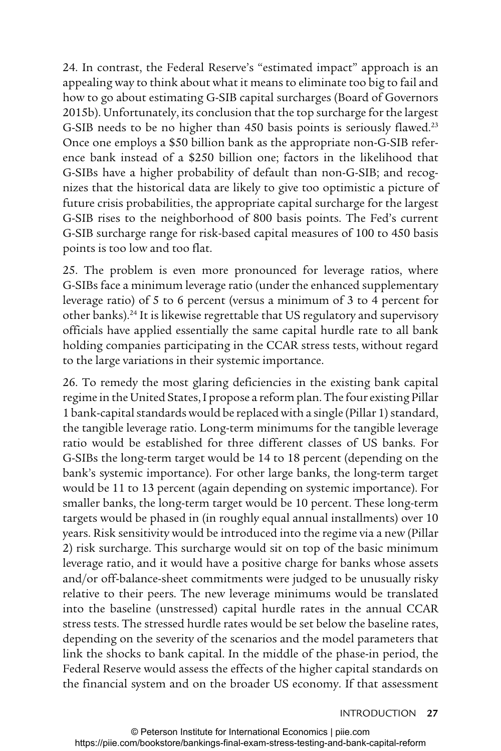24. In contrast, the Federal Reserve's "estimated impact" approach is an appealing way to think about what it means to eliminate too big to fail and how to go about estimating G-SIB capital surcharges (Board of Governors 2015b). Unfortunately, its conclusion that the top surcharge for the largest G-SIB needs to be no higher than 450 basis points is seriously flawed.<sup>23</sup> Once one employs a \$50 billion bank as the appropriate non-G-SIB reference bank instead of a \$250 billion one; factors in the likelihood that G-SIBs have a higher probability of default than non-G-SIB; and recognizes that the historical data are likely to give too optimistic a picture of future crisis probabilities, the appropriate capital surcharge for the largest G-SIB rises to the neighborhood of 800 basis points. The Fed's current G-SIB surcharge range for risk-based capital measures of 100 to 450 basis points is too low and too flat.

25. The problem is even more pronounced for leverage ratios, where G-SIBs face a minimum leverage ratio (under the enhanced supplementary leverage ratio) of 5 to 6 percent (versus a minimum of 3 to 4 percent for other banks).24 It is likewise regrettable that US regulatory and supervisory officials have applied essentially the same capital hurdle rate to all bank holding companies participating in the CCAR stress tests, without regard to the large variations in their systemic importance.

26. To remedy the most glaring deficiencies in the existing bank capital regime in the United States, I propose a reform plan. The four existing Pillar 1 bank-capital standards would be replaced with a single (Pillar 1) standard, the tangible leverage ratio. Long-term minimums for the tangible leverage ratio would be established for three different classes of US banks. For G-SIBs the long-term target would be 14 to 18 percent (depending on the bank's systemic importance). For other large banks, the long-term target would be 11 to 13 percent (again depending on systemic importance). For smaller banks, the long-term target would be 10 percent. These long-term targets would be phased in (in roughly equal annual installments) over 10 years. Risk sensitivity would be introduced into the regime via a new (Pillar 2) risk surcharge. This surcharge would sit on top of the basic minimum leverage ratio, and it would have a positive charge for banks whose assets and/or off-balance-sheet commitments were judged to be unusually risky relative to their peers. The new leverage minimums would be translated into the baseline (unstressed) capital hurdle rates in the annual CCAR stress tests. The stressed hurdle rates would be set below the baseline rates, depending on the severity of the scenarios and the model parameters that link the shocks to bank capital. In the middle of the phase-in period, the Federal Reserve would assess the effects of the higher capital standards on the financial system and on the broader US economy. If that assessment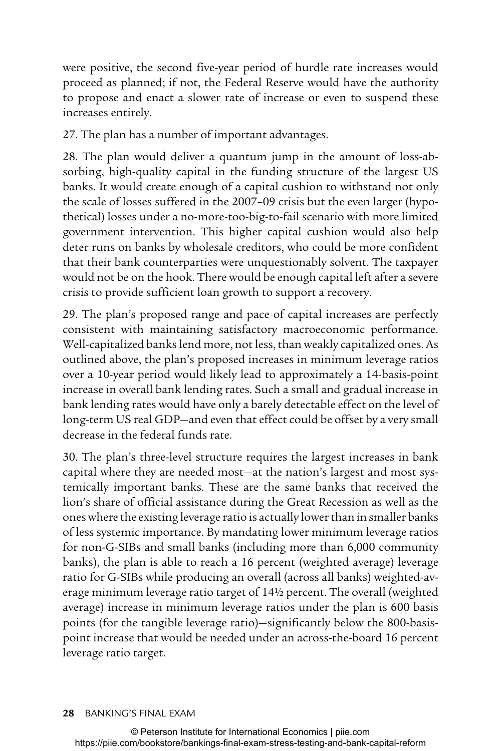were positive, the second five-year period of hurdle rate increases would proceed as planned; if not, the Federal Reserve would have the authority to propose and enact a slower rate of increase or even to suspend these increases entirely.

27. The plan has a number of important advantages.

28. The plan would deliver a quantum jump in the amount of loss-absorbing, high-quality capital in the funding structure of the largest US banks. It would create enough of a capital cushion to withstand not only the scale of losses suffered in the 2007–09 crisis but the even larger (hypothetical) losses under a no-more-too-big-to-fail scenario with more limited government intervention. This higher capital cushion would also help deter runs on banks by wholesale creditors, who could be more confident that their bank counterparties were unquestionably solvent. The taxpayer would not be on the hook. There would be enough capital left after a severe crisis to provide sufficient loan growth to support a recovery.

29. The plan's proposed range and pace of capital increases are perfectly consistent with maintaining satisfactory macroeconomic performance. Well-capitalized banks lend more, not less, than weakly capitalized ones. As outlined above, the plan's proposed increases in minimum leverage ratios over a 10-year period would likely lead to approximately a 14-basis-point increase in overall bank lending rates. Such a small and gradual increase in bank lending rates would have only a barely detectable effect on the level of long-term US real GDP—and even that effect could be offset by a very small decrease in the federal funds rate.

30. The plan's three-level structure requires the largest increases in bank capital where they are needed most—at the nation's largest and most systemically important banks. These are the same banks that received the lion's share of official assistance during the Great Recession as well as the ones where the existing leverage ratio is actually lower than in smaller banks of less systemic importance. By mandating lower minimum leverage ratios for non-G-SIBs and small banks (including more than 6,000 community banks), the plan is able to reach a 16 percent (weighted average) leverage ratio for G-SIBs while producing an overall (across all banks) weighted-average minimum leverage ratio target of 14½ percent. The overall (weighted average) increase in minimum leverage ratios under the plan is 600 basis points (for the tangible leverage ratio)—significantly below the 800-basispoint increase that would be needed under an across-the-board 16 percent leverage ratio target.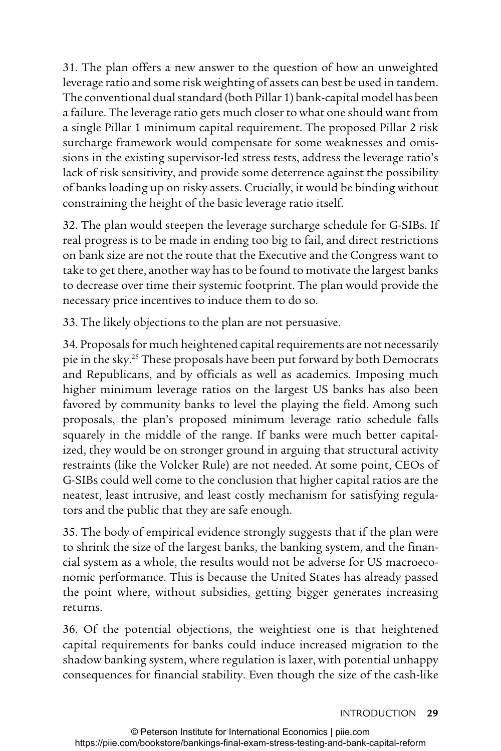31. The plan offers a new answer to the question of how an unweighted leverage ratio and some risk weighting of assets can best be used in tandem. The conventional dual standard (both Pillar 1) bank-capital model has been a failure. The leverage ratio gets much closer to what one should want from a single Pillar 1 minimum capital requirement. The proposed Pillar 2 risk surcharge framework would compensate for some weaknesses and omissions in the existing supervisor-led stress tests, address the leverage ratio's lack of risk sensitivity, and provide some deterrence against the possibility of banks loading up on risky assets. Crucially, it would be binding without constraining the height of the basic leverage ratio itself.

32. The plan would steepen the leverage surcharge schedule for G-SIBs. If real progress is to be made in ending too big to fail, and direct restrictions on bank size are not the route that the Executive and the Congress want to take to get there, another way has to be found to motivate the largest banks to decrease over time their systemic footprint. The plan would provide the necessary price incentives to induce them to do so.

33. The likely objections to the plan are not persuasive.

34. Proposals for much heightened capital requirements are not necessarily pie in the sky.25 These proposals have been put forward by both Democrats and Republicans, and by officials as well as academics. Imposing much higher minimum leverage ratios on the largest US banks has also been favored by community banks to level the playing the field. Among such proposals, the plan's proposed minimum leverage ratio schedule falls squarely in the middle of the range. If banks were much better capitalized, they would be on stronger ground in arguing that structural activity restraints (like the Volcker Rule) are not needed. At some point, CEOs of G-SIBs could well come to the conclusion that higher capital ratios are the neatest, least intrusive, and least costly mechanism for satisfying regulators and the public that they are safe enough.

35. The body of empirical evidence strongly suggests that if the plan were to shrink the size of the largest banks, the banking system, and the financial system as a whole, the results would not be adverse for US macroeconomic performance. This is because the United States has already passed the point where, without subsidies, getting bigger generates increasing returns.

36. Of the potential objections, the weightiest one is that heightened capital requirements for banks could induce increased migration to the shadow banking system, where regulation is laxer, with potential unhappy consequences for financial stability. Even though the size of the cash-like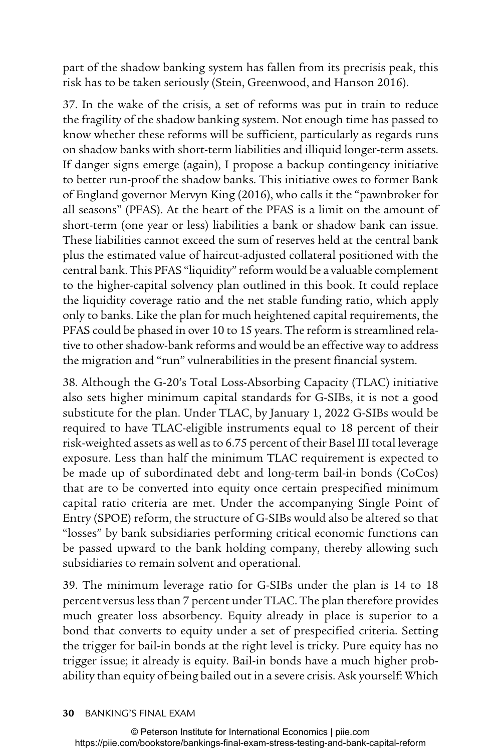part of the shadow banking system has fallen from its precrisis peak, this risk has to be taken seriously (Stein, Greenwood, and Hanson 2016).

37. In the wake of the crisis, a set of reforms was put in train to reduce the fragility of the shadow banking system. Not enough time has passed to know whether these reforms will be sufficient, particularly as regards runs on shadow banks with short-term liabilities and illiquid longer-term assets. If danger signs emerge (again), I propose a backup contingency initiative to better run-proof the shadow banks. This initiative owes to former Bank of England governor Mervyn King (2016), who calls it the "pawnbroker for all seasons" (PFAS). At the heart of the PFAS is a limit on the amount of short-term (one year or less) liabilities a bank or shadow bank can issue. These liabilities cannot exceed the sum of reserves held at the central bank plus the estimated value of haircut-adjusted collateral positioned with the central bank. This PFAS "liquidity" reform would be a valuable complement to the higher-capital solvency plan outlined in this book. It could replace the liquidity coverage ratio and the net stable funding ratio, which apply only to banks. Like the plan for much heightened capital requirements, the PFAS could be phased in over 10 to 15 years. The reform is streamlined relative to other shadow-bank reforms and would be an effective way to address the migration and "run" vulnerabilities in the present financial system.

38. Although the G-20's Total Loss-Absorbing Capacity (TLAC) initiative also sets higher minimum capital standards for G-SIBs, it is not a good substitute for the plan. Under TLAC, by January 1, 2022 G-SIBs would be required to have TLAC-eligible instruments equal to 18 percent of their risk-weighted assets as well as to 6.75 percent of their Basel III total leverage exposure. Less than half the minimum TLAC requirement is expected to be made up of subordinated debt and long-term bail-in bonds (CoCos) that are to be converted into equity once certain prespecified minimum capital ratio criteria are met. Under the accompanying Single Point of Entry (SPOE) reform, the structure of G-SIBs would also be altered so that "losses" by bank subsidiaries performing critical economic functions can be passed upward to the bank holding company, thereby allowing such subsidiaries to remain solvent and operational.

39. The minimum leverage ratio for G-SIBs under the plan is 14 to 18 percent versus less than 7 percent under TLAC. The plan therefore provides much greater loss absorbency. Equity already in place is superior to a bond that converts to equity under a set of prespecified criteria. Setting the trigger for bail-in bonds at the right level is tricky. Pure equity has no trigger issue; it already is equity. Bail-in bonds have a much higher probability than equity of being bailed out in a severe crisis. Ask yourself: Which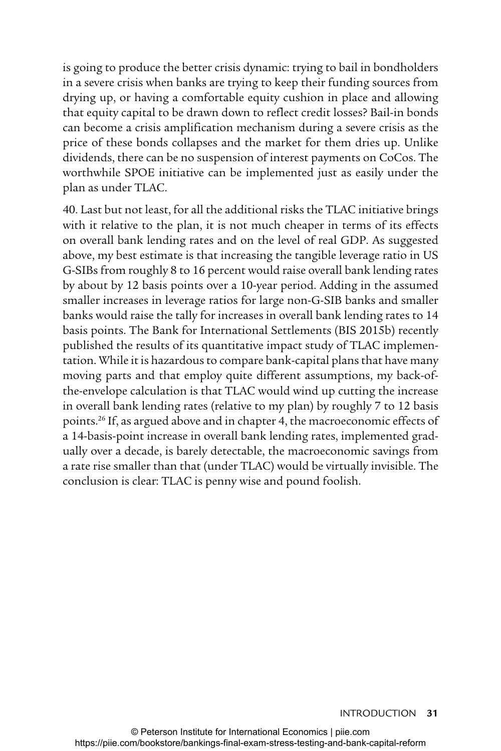is going to produce the better crisis dynamic: trying to bail in bondholders in a severe crisis when banks are trying to keep their funding sources from drying up, or having a comfortable equity cushion in place and allowing that equity capital to be drawn down to reflect credit losses? Bail-in bonds can become a crisis amplification mechanism during a severe crisis as the price of these bonds collapses and the market for them dries up. Unlike dividends, there can be no suspension of interest payments on CoCos. The worthwhile SPOE initiative can be implemented just as easily under the plan as under TLAC.

40. Last but not least, for all the additional risks the TLAC initiative brings with it relative to the plan, it is not much cheaper in terms of its effects on overall bank lending rates and on the level of real GDP. As suggested above, my best estimate is that increasing the tangible leverage ratio in US G-SIBs from roughly 8 to 16 percent would raise overall bank lending rates by about by 12 basis points over a 10-year period. Adding in the assumed smaller increases in leverage ratios for large non-G-SIB banks and smaller banks would raise the tally for increases in overall bank lending rates to 14 basis points. The Bank for International Settlements (BIS 2015b) recently published the results of its quantitative impact study of TLAC implementation. While it is hazardous to compare bank-capital plans that have many moving parts and that employ quite different assumptions, my back-ofthe-envelope calculation is that TLAC would wind up cutting the increase in overall bank lending rates (relative to my plan) by roughly 7 to 12 basis points.26 If, as argued above and in chapter 4, the macroeconomic effects of a 14-basis-point increase in overall bank lending rates, implemented gradually over a decade, is barely detectable, the macroeconomic savings from a rate rise smaller than that (under TLAC) would be virtually invisible. The conclusion is clear: TLAC is penny wise and pound foolish.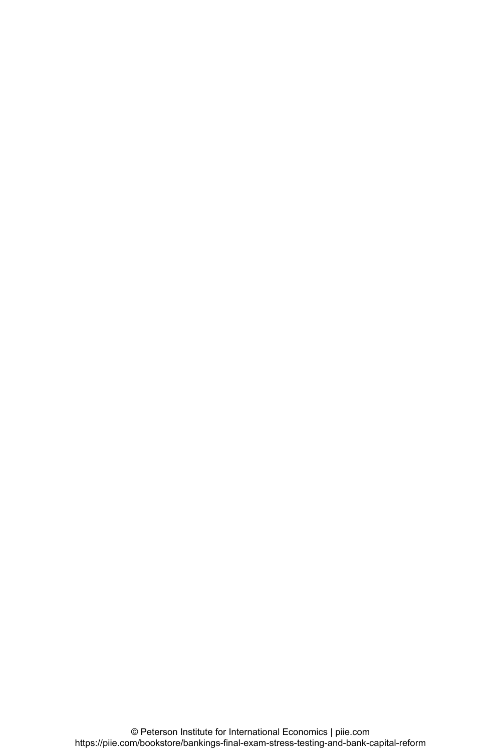© Peterson Institute for International Economics | piie.com https://piie.com/bookstore/bankings-final-exam-stress-testing-and-bank-capital-reform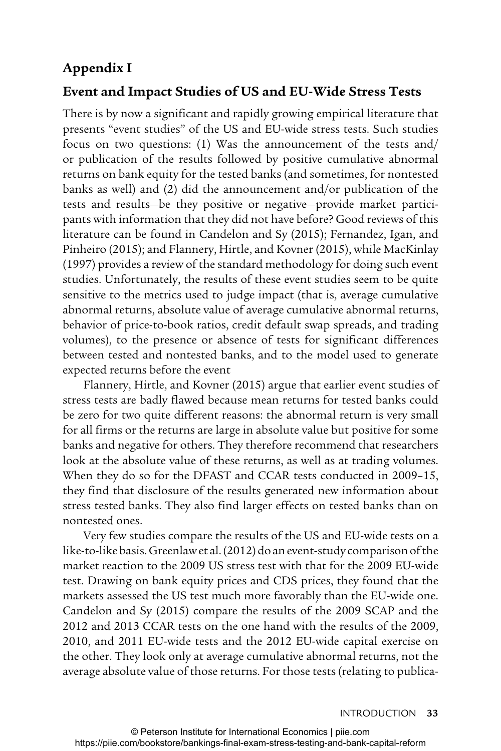# **Appendix I**

# **Event and Impact Studies of US and EU-Wide Stress Tests**

There is by now a significant and rapidly growing empirical literature that presents "event studies" of the US and EU-wide stress tests. Such studies focus on two questions: (1) Was the announcement of the tests and/ or publication of the results followed by positive cumulative abnormal returns on bank equity for the tested banks (and sometimes, for nontested banks as well) and (2) did the announcement and/or publication of the tests and results—be they positive or negative—provide market participants with information that they did not have before? Good reviews of this literature can be found in Candelon and Sy (2015); Fernandez, Igan, and Pinheiro (2015); and Flannery, Hirtle, and Kovner (2015), while MacKinlay (1997) provides a review of the standard methodology for doing such event studies. Unfortunately, the results of these event studies seem to be quite sensitive to the metrics used to judge impact (that is, average cumulative abnormal returns, absolute value of average cumulative abnormal returns, behavior of price-to-book ratios, credit default swap spreads, and trading volumes), to the presence or absence of tests for significant differences between tested and nontested banks, and to the model used to generate expected returns before the event

Flannery, Hirtle, and Kovner (2015) argue that earlier event studies of stress tests are badly flawed because mean returns for tested banks could be zero for two quite different reasons: the abnormal return is very small for all firms or the returns are large in absolute value but positive for some banks and negative for others. They therefore recommend that researchers look at the absolute value of these returns, as well as at trading volumes. When they do so for the DFAST and CCAR tests conducted in 2009–15, they find that disclosure of the results generated new information about stress tested banks. They also find larger effects on tested banks than on nontested ones.

Very few studies compare the results of the US and EU-wide tests on a like-to-like basis. Greenlaw et al. (2012) do an event-study comparison of the market reaction to the 2009 US stress test with that for the 2009 EU-wide test. Drawing on bank equity prices and CDS prices, they found that the markets assessed the US test much more favorably than the EU-wide one. Candelon and Sy (2015) compare the results of the 2009 SCAP and the 2012 and 2013 CCAR tests on the one hand with the results of the 2009, 2010, and 2011 EU-wide tests and the 2012 EU-wide capital exercise on the other. They look only at average cumulative abnormal returns, not the average absolute value of those returns. For those tests (relating to publica-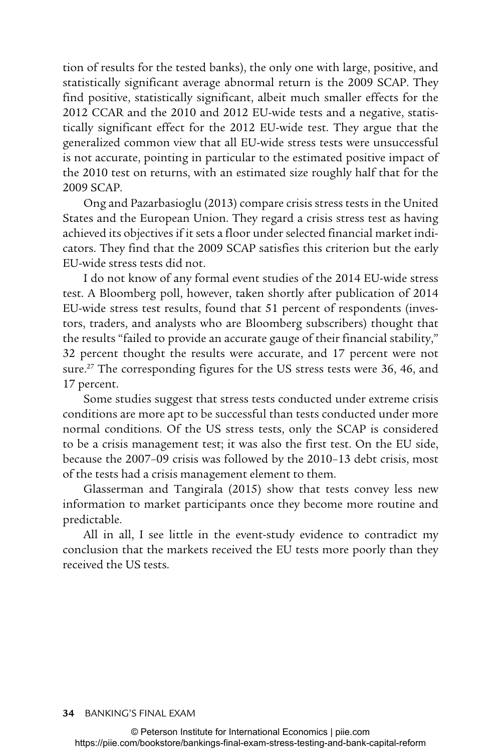tion of results for the tested banks), the only one with large, positive, and statistically significant average abnormal return is the 2009 SCAP. They find positive, statistically significant, albeit much smaller effects for the 2012 CCAR and the 2010 and 2012 EU-wide tests and a negative, statistically significant effect for the 2012 EU-wide test. They argue that the generalized common view that all EU-wide stress tests were unsuccessful is not accurate, pointing in particular to the estimated positive impact of the 2010 test on returns, with an estimated size roughly half that for the 2009 SCAP.

Ong and Pazarbasioglu (2013) compare crisis stress tests in the United States and the European Union. They regard a crisis stress test as having achieved its objectives if it sets a floor under selected financial market indicators. They find that the 2009 SCAP satisfies this criterion but the early EU-wide stress tests did not.

I do not know of any formal event studies of the 2014 EU-wide stress test. A Bloomberg poll, however, taken shortly after publication of 2014 EU-wide stress test results, found that 51 percent of respondents (investors, traders, and analysts who are Bloomberg subscribers) thought that the results "failed to provide an accurate gauge of their financial stability," 32 percent thought the results were accurate, and 17 percent were not sure.<sup>27</sup> The corresponding figures for the US stress tests were 36, 46, and 17 percent.

Some studies suggest that stress tests conducted under extreme crisis conditions are more apt to be successful than tests conducted under more normal conditions. Of the US stress tests, only the SCAP is considered to be a crisis management test; it was also the first test. On the EU side, because the 2007–09 crisis was followed by the 2010–13 debt crisis, most of the tests had a crisis management element to them.

Glasserman and Tangirala (2015) show that tests convey less new information to market participants once they become more routine and predictable.

All in all, I see little in the event-study evidence to contradict my conclusion that the markets received the EU tests more poorly than they received the US tests.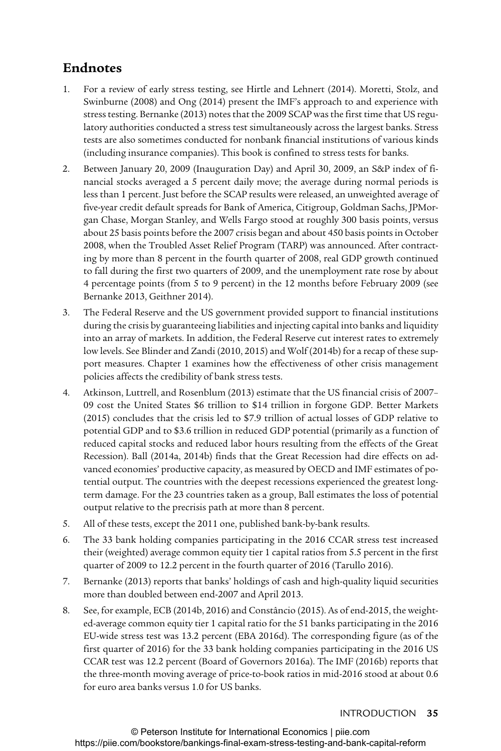# **Endnotes**

- 1. For a review of early stress testing, see Hirtle and Lehnert (2014). Moretti, Stolz, and Swinburne (2008) and Ong (2014) present the IMF's approach to and experience with stress testing. Bernanke (2013) notes that the 2009 SCAP was the first time that US regulatory authorities conducted a stress test simultaneously across the largest banks. Stress tests are also sometimes conducted for nonbank financial institutions of various kinds (including insurance companies). This book is confined to stress tests for banks.
- 2. Between January 20, 2009 (Inauguration Day) and April 30, 2009, an S&P index of financial stocks averaged a 5 percent daily move; the average during normal periods is less than 1 percent. Just before the SCAP results were released, an unweighted average of five-year credit default spreads for Bank of America, Citigroup, Goldman Sachs, JPMorgan Chase, Morgan Stanley, and Wells Fargo stood at roughly 300 basis points, versus about 25 basis points before the 2007 crisis began and about 450 basis points in October 2008, when the Troubled Asset Relief Program (TARP) was announced. After contracting by more than 8 percent in the fourth quarter of 2008, real GDP growth continued to fall during the first two quarters of 2009, and the unemployment rate rose by about 4 percentage points (from 5 to 9 percent) in the 12 months before February 2009 (see Bernanke 2013, Geithner 2014).
- 3. The Federal Reserve and the US government provided support to financial institutions during the crisis by guaranteeing liabilities and injecting capital into banks and liquidity into an array of markets. In addition, the Federal Reserve cut interest rates to extremely low levels. See Blinder and Zandi (2010, 2015) and Wolf (2014b) for a recap of these support measures. Chapter 1 examines how the effectiveness of other crisis management policies affects the credibility of bank stress tests.
- 4. Atkinson, Luttrell, and Rosenblum (2013) estimate that the US financial crisis of 2007– 09 cost the United States \$6 trillion to \$14 trillion in forgone GDP. Better Markets (2015) concludes that the crisis led to \$7.9 trillion of actual losses of GDP relative to potential GDP and to \$3.6 trillion in reduced GDP potential (primarily as a function of reduced capital stocks and reduced labor hours resulting from the effects of the Great Recession). Ball (2014a, 2014b) finds that the Great Recession had dire effects on advanced economies' productive capacity, as measured by OECD and IMF estimates of potential output. The countries with the deepest recessions experienced the greatest longterm damage. For the 23 countries taken as a group, Ball estimates the loss of potential output relative to the precrisis path at more than 8 percent.
- 5. All of these tests, except the 2011 one, published bank-by-bank results.
- 6. The 33 bank holding companies participating in the 2016 CCAR stress test increased their (weighted) average common equity tier 1 capital ratios from 5.5 percent in the first quarter of 2009 to 12.2 percent in the fourth quarter of 2016 (Tarullo 2016).
- 7. Bernanke (2013) reports that banks' holdings of cash and high-quality liquid securities more than doubled between end-2007 and April 2013.
- 8. See, for example, ECB (2014b, 2016) and Constâncio (2015). As of end-2015, the weighted-average common equity tier 1 capital ratio for the 51 banks participating in the 2016 EU-wide stress test was 13.2 percent (EBA 2016d). The corresponding figure (as of the first quarter of 2016) for the 33 bank holding companies participating in the 2016 US CCAR test was 12.2 percent (Board of Governors 2016a). The IMF (2016b) reports that the three-month moving average of price-to-book ratios in mid-2016 stood at about 0.6 for euro area banks versus 1.0 for US banks.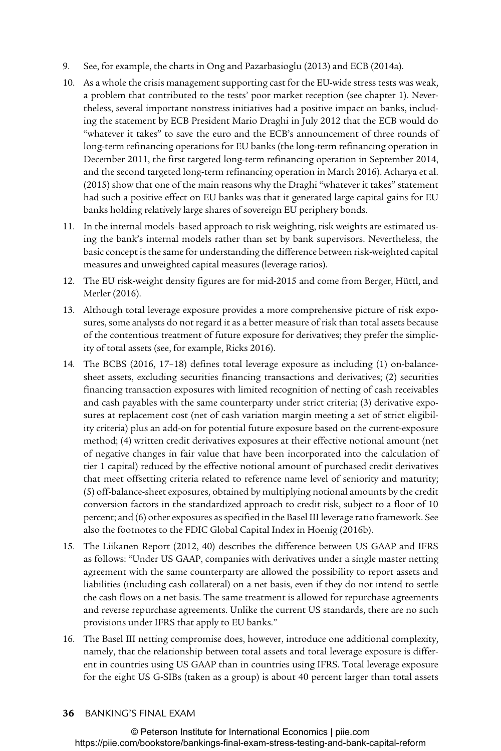- 9. See, for example, the charts in Ong and Pazarbasioglu (2013) and ECB (2014a).
- 10. As a whole the crisis management supporting cast for the EU-wide stress tests was weak, a problem that contributed to the tests' poor market reception (see chapter 1). Nevertheless, several important nonstress initiatives had a positive impact on banks, including the statement by ECB President Mario Draghi in July 2012 that the ECB would do "whatever it takes" to save the euro and the ECB's announcement of three rounds of long-term refinancing operations for EU banks (the long-term refinancing operation in December 2011, the first targeted long-term refinancing operation in September 2014, and the second targeted long-term refinancing operation in March 2016). Acharya et al. (2015) show that one of the main reasons why the Draghi "whatever it takes" statement had such a positive effect on EU banks was that it generated large capital gains for EU banks holding relatively large shares of sovereign EU periphery bonds.
- 11. In the internal models–based approach to risk weighting, risk weights are estimated using the bank's internal models rather than set by bank supervisors. Nevertheless, the basic concept is the same for understanding the difference between risk-weighted capital measures and unweighted capital measures (leverage ratios).
- 12. The EU risk-weight density figures are for mid-2015 and come from Berger, Hüttl, and Merler (2016).
- 13. Although total leverage exposure provides a more comprehensive picture of risk exposures, some analysts do not regard it as a better measure of risk than total assets because of the contentious treatment of future exposure for derivatives; they prefer the simplicity of total assets (see, for example, Ricks 2016).
- 14. The BCBS (2016, 17–18) defines total leverage exposure as including (1) on-balancesheet assets, excluding securities financing transactions and derivatives; (2) securities financing transaction exposures with limited recognition of netting of cash receivables and cash payables with the same counterparty under strict criteria; (3) derivative exposures at replacement cost (net of cash variation margin meeting a set of strict eligibility criteria) plus an add-on for potential future exposure based on the current-exposure method; (4) written credit derivatives exposures at their effective notional amount (net of negative changes in fair value that have been incorporated into the calculation of tier 1 capital) reduced by the effective notional amount of purchased credit derivatives that meet offsetting criteria related to reference name level of seniority and maturity; (5) off-balance-sheet exposures, obtained by multiplying notional amounts by the credit conversion factors in the standardized approach to credit risk, subject to a floor of 10 percent; and (6) other exposures as specified in the Basel III leverage ratio framework. See also the footnotes to the FDIC Global Capital Index in Hoenig (2016b).
- 15. The Liikanen Report (2012, 40) describes the difference between US GAAP and IFRS as follows: "Under US GAAP, companies with derivatives under a single master netting agreement with the same counterparty are allowed the possibility to report assets and liabilities (including cash collateral) on a net basis, even if they do not intend to settle the cash flows on a net basis. The same treatment is allowed for repurchase agreements and reverse repurchase agreements. Unlike the current US standards, there are no such provisions under IFRS that apply to EU banks."
- 16. The Basel III netting compromise does, however, introduce one additional complexity, namely, that the relationship between total assets and total leverage exposure is different in countries using US GAAP than in countries using IFRS. Total leverage exposure for the eight US G-SIBs (taken as a group) is about 40 percent larger than total assets

#### **36** BANKING'S FINAL EXAM

© Peterson Institute for International Economics | piie.com https://piie.com/bookstore/bankings-final-exam-stress-testing-and-bank-capital-reform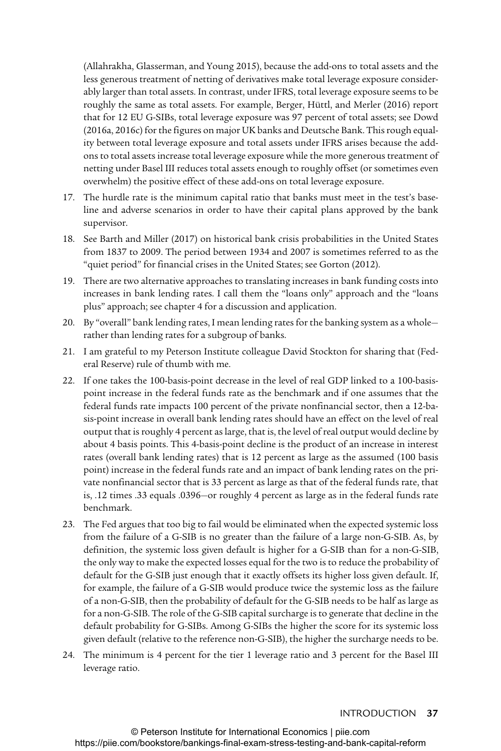(Allahrakha, Glasserman, and Young 2015), because the add-ons to total assets and the less generous treatment of netting of derivatives make total leverage exposure considerably larger than total assets. In contrast, under IFRS, total leverage exposure seems to be roughly the same as total assets. For example, Berger, Hüttl, and Merler (2016) report that for 12 EU G-SIBs, total leverage exposure was 97 percent of total assets; see Dowd (2016a, 2016c) for the figures on major UK banks and Deutsche Bank. This rough equality between total leverage exposure and total assets under IFRS arises because the addons to total assets increase total leverage exposure while the more generous treatment of netting under Basel III reduces total assets enough to roughly offset (or sometimes even overwhelm) the positive effect of these add-ons on total leverage exposure.

- 17. The hurdle rate is the minimum capital ratio that banks must meet in the test's baseline and adverse scenarios in order to have their capital plans approved by the bank supervisor.
- 18. See Barth and Miller (2017) on historical bank crisis probabilities in the United States from 1837 to 2009. The period between 1934 and 2007 is sometimes referred to as the "quiet period" for financial crises in the United States; see Gorton (2012).
- 19. There are two alternative approaches to translating increases in bank funding costs into increases in bank lending rates. I call them the "loans only" approach and the "loans plus" approach; see chapter 4 for a discussion and application.
- 20. By "overall" bank lending rates, I mean lending rates for the banking system as a whole rather than lending rates for a subgroup of banks.
- 21. I am grateful to my Peterson Institute colleague David Stockton for sharing that (Federal Reserve) rule of thumb with me.
- 22. If one takes the 100-basis-point decrease in the level of real GDP linked to a 100-basispoint increase in the federal funds rate as the benchmark and if one assumes that the federal funds rate impacts 100 percent of the private nonfinancial sector, then a 12-basis-point increase in overall bank lending rates should have an effect on the level of real output that is roughly 4 percent as large, that is, the level of real output would decline by about 4 basis points. This 4-basis-point decline is the product of an increase in interest rates (overall bank lending rates) that is 12 percent as large as the assumed (100 basis point) increase in the federal funds rate and an impact of bank lending rates on the private nonfinancial sector that is 33 percent as large as that of the federal funds rate, that is, .12 times .33 equals .0396—or roughly 4 percent as large as in the federal funds rate benchmark.
- 23. The Fed argues that too big to fail would be eliminated when the expected systemic loss from the failure of a G-SIB is no greater than the failure of a large non-G-SIB. As, by definition, the systemic loss given default is higher for a G-SIB than for a non-G-SIB, the only way to make the expected losses equal for the two is to reduce the probability of default for the G-SIB just enough that it exactly offsets its higher loss given default. If, for example, the failure of a G-SIB would produce twice the systemic loss as the failure of a non-G-SIB, then the probability of default for the G-SIB needs to be half as large as for a non-G-SIB. The role of the G-SIB capital surcharge is to generate that decline in the default probability for G-SIBs. Among G-SIBs the higher the score for its systemic loss given default (relative to the reference non-G-SIB), the higher the surcharge needs to be.
- 24. The minimum is 4 percent for the tier 1 leverage ratio and 3 percent for the Basel III leverage ratio.